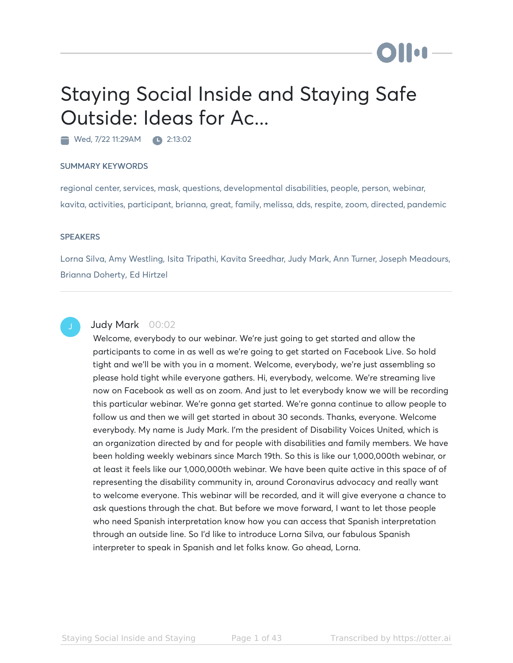# Staying Social Inside and Staying Safe Outside: Ideas for Ac...

Wed, 7/22 11:29AM 2:13:02

# SUMMARY KEYWORDS

regional center, services, mask, questions, developmental disabilities, people, person, webinar, kavita, activities, participant, brianna, great, family, melissa, dds, respite, zoom, directed, pandemic

# **SPEAKERS**

Lorna Silva, Amy Westling, Isita Tripathi, Kavita Sreedhar, Judy Mark, Ann Turner, Joseph Meadours, Brianna Doherty, Ed Hirtzel



# Judy Mark 00:02

Welcome, everybody to our webinar. We're just going to get started and allow the participants to come in as well as we're going to get started on Facebook Live. So hold tight and we'll be with you in a moment. Welcome, everybody, we're just assembling so please hold tight while everyone gathers. Hi, everybody, welcome. We're streaming live now on Facebook as well as on zoom. And just to let everybody know we will be recording this particular webinar. We're gonna get started. We're gonna continue to allow people to follow us and then we will get started in about 30 seconds. Thanks, everyone. Welcome everybody. My name is Judy Mark. I'm the president of Disability Voices United, which is an organization directed by and for people with disabilities and family members. We have been holding weekly webinars since March 19th. So this is like our 1,000,000th webinar, or at least it feels like our 1,000,000th webinar. We have been quite active in this space of of representing the disability community in, around Coronavirus advocacy and really want to welcome everyone. This webinar will be recorded, and it will give everyone a chance to ask questions through the chat. But before we move forward, I want to let those people who need Spanish interpretation know how you can access that Spanish interpretation through an outside line. So I'd like to introduce Lorna Silva, our fabulous Spanish interpreter to speak in Spanish and let folks know. Go ahead, Lorna.

**DII:**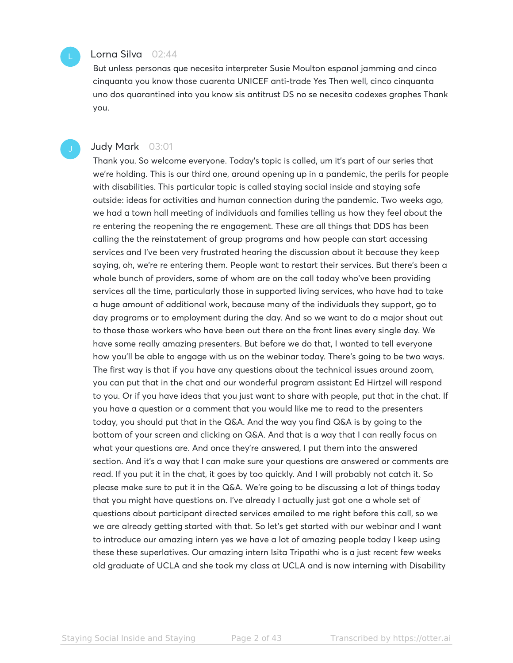# Lorna Silva 02:44

But unless personas que necesita interpreter Susie Moulton espanol jamming and cinco cinquanta you know those cuarenta UNICEF anti-trade Yes Then well, cinco cinquanta uno dos quarantined into you know sis antitrust DS no se necesita codexes graphes Thank you.

# Judy Mark 03:01

Thank you. So welcome everyone. Today's topic is called, um it's part of our series that we're holding. This is our third one, around opening up in a pandemic, the perils for people with disabilities. This particular topic is called staying social inside and staying safe outside: ideas for activities and human connection during the pandemic. Two weeks ago, we had a town hall meeting of individuals and families telling us how they feel about the re entering the reopening the re engagement. These are all things that DDS has been calling the the reinstatement of group programs and how people can start accessing services and I've been very frustrated hearing the discussion about it because they keep saying, oh, we're re entering them. People want to restart their services. But there's been a whole bunch of providers, some of whom are on the call today who've been providing services all the time, particularly those in supported living services, who have had to take a huge amount of additional work, because many of the individuals they support, go to day programs or to employment during the day. And so we want to do a major shout out to those those workers who have been out there on the front lines every single day. We have some really amazing presenters. But before we do that, I wanted to tell everyone how you'll be able to engage with us on the webinar today. There's going to be two ways. The first way is that if you have any questions about the technical issues around zoom, you can put that in the chat and our wonderful program assistant Ed Hirtzel will respond to you. Or if you have ideas that you just want to share with people, put that in the chat. If you have a question or a comment that you would like me to read to the presenters today, you should put that in the Q&A. And the way you find Q&A is by going to the bottom of your screen and clicking on Q&A. And that is a way that I can really focus on what your questions are. And once they're answered, I put them into the answered section. And it's a way that I can make sure your questions are answered or comments are read. If you put it in the chat, it goes by too quickly. And I will probably not catch it. So please make sure to put it in the Q&A. We're going to be discussing a lot of things today that you might have questions on. I've already I actually just got one a whole set of questions about participant directed services emailed to me right before this call, so we we are already getting started with that. So let's get started with our webinar and I want to introduce our amazing intern yes we have a lot of amazing people today I keep using these these superlatives. Our amazing intern Isita Tripathi who is a just recent few weeks old graduate of UCLA and she took my class at UCLA and is now interning with Disability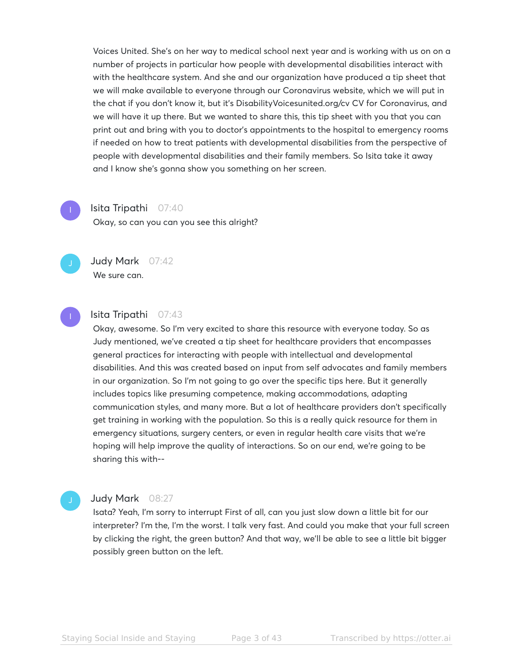Voices United. She's on her way to medical school next year and is working with us on on a number of projects in particular how people with developmental disabilities interact with with the healthcare system. And she and our organization have produced a tip sheet that we will make available to everyone through our Coronavirus website, which we will put in the chat if you don't know it, but it's DisabilityVoicesunited.org/cv CV for Coronavirus, and we will have it up there. But we wanted to share this, this tip sheet with you that you can print out and bring with you to doctor's appointments to the hospital to emergency rooms if needed on how to treat patients with developmental disabilities from the perspective of people with developmental disabilities and their family members. So Isita take it away and I know she's gonna show you something on her screen.

# Isita Tripathi 07:40

Okay, so can you can you see this alright?



We sure can.

Judy Mark 07:42



# Isita Tripathi 07:43

Okay, awesome. So I'm very excited to share this resource with everyone today. So as Judy mentioned, we've created a tip sheet for healthcare providers that encompasses general practices for interacting with people with intellectual and developmental disabilities. And this was created based on input from self advocates and family members in our organization. So I'm not going to go over the specific tips here. But it generally includes topics like presuming competence, making accommodations, adapting communication styles, and many more. But a lot of healthcare providers don't specifically get training in working with the population. So this is a really quick resource for them in emergency situations, surgery centers, or even in regular health care visits that we're hoping will help improve the quality of interactions. So on our end, we're going to be sharing this with--

# Judy Mark 08:27

Isata? Yeah, I'm sorry to interrupt First of all, can you just slow down a little bit for our interpreter? I'm the, I'm the worst. I talk very fast. And could you make that your full screen by clicking the right, the green button? And that way, we'll be able to see a little bit bigger possibly green button on the left.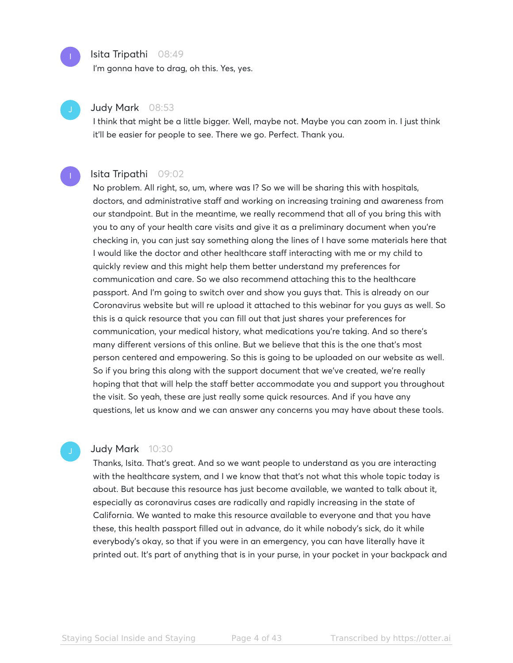

# Isita Tripathi 08:49

I'm gonna have to drag, oh this. Yes, yes.

# Judy Mark 08:53

I think that might be a little bigger. Well, maybe not. Maybe you can zoom in. I just think it'll be easier for people to see. There we go. Perfect. Thank you.

# Isita Tripathi 09:02

No problem. All right, so, um, where was I? So we will be sharing this with hospitals, doctors, and administrative staff and working on increasing training and awareness from our standpoint. But in the meantime, we really recommend that all of you bring this with you to any of your health care visits and give it as a preliminary document when you're checking in, you can just say something along the lines of I have some materials here that I would like the doctor and other healthcare staff interacting with me or my child to quickly review and this might help them better understand my preferences for communication and care. So we also recommend attaching this to the healthcare passport. And I'm going to switch over and show you guys that. This is already on our Coronavirus website but will re upload it attached to this webinar for you guys as well. So this is a quick resource that you can fill out that just shares your preferences for communication, your medical history, what medications you're taking. And so there's many different versions of this online. But we believe that this is the one that's most person centered and empowering. So this is going to be uploaded on our website as well. So if you bring this along with the support document that we've created, we're really hoping that that will help the staff better accommodate you and support you throughout the visit. So yeah, these are just really some quick resources. And if you have any questions, let us know and we can answer any concerns you may have about these tools.

# Judy Mark 10:30

Thanks, Isita. That's great. And so we want people to understand as you are interacting with the healthcare system, and I we know that that's not what this whole topic today is about. But because this resource has just become available, we wanted to talk about it, especially as coronavirus cases are radically and rapidly increasing in the state of California. We wanted to make this resource available to everyone and that you have these, this health passport filled out in advance, do it while nobody's sick, do it while everybody's okay, so that if you were in an emergency, you can have literally have it printed out. It's part of anything that is in your purse, in your pocket in your backpack and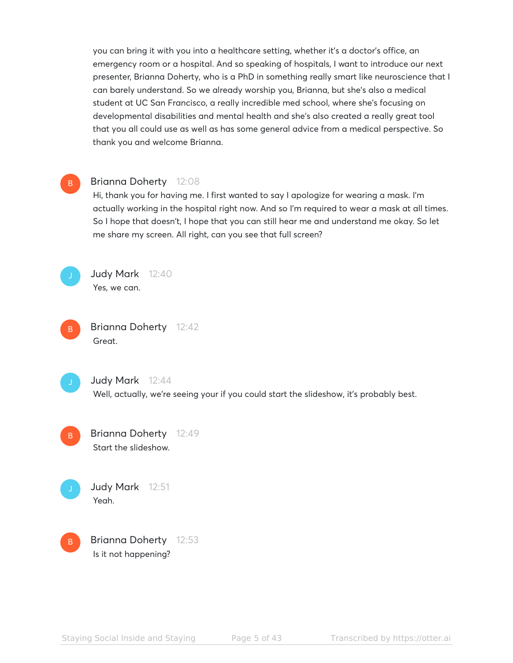you can bring it with you into a healthcare setting, whether it's a doctor's office, an emergency room or a hospital. And so speaking of hospitals, I want to introduce our next presenter, Brianna Doherty, who is a PhD in something really smart like neuroscience that I can barely understand. So we already worship you, Brianna, but she's also a medical student at UC San Francisco, a really incredible med school, where she's focusing on developmental disabilities and mental health and she's also created a really great tool that you all could use as well as has some general advice from a medical perspective. So thank you and welcome Brianna.

# B

# Brianna Doherty 12:08

Hi, thank you for having me. I first wanted to say I apologize for wearing a mask. I'm actually working in the hospital right now. And so I'm required to wear a mask at all times. So I hope that doesn't, I hope that you can still hear me and understand me okay. So let me share my screen. All right, can you see that full screen?



Judy Mark 12:40 Yes, we can.





# Judy Mark 12:44

Well, actually, we're seeing your if you could start the slideshow, it's probably best.

Brianna Doherty 12:49 Start the slideshow. B



Judy Mark 12:51

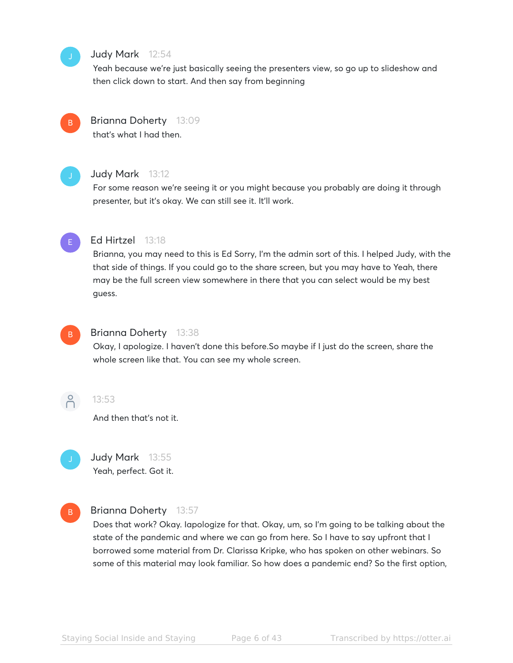# Judy Mark 12:54

Yeah because we're just basically seeing the presenters view, so go up to slideshow and then click down to start. And then say from beginning



# Brianna Doherty 13:09

that's what I had then.



# Judy Mark 13:12

For some reason we're seeing it or you might because you probably are doing it through presenter, but it's okay. We can still see it. It'll work.



# Ed Hirtzel 13:18

Brianna, you may need to this is Ed Sorry, I'm the admin sort of this. I helped Judy, with the that side of things. If you could go to the share screen, but you may have to Yeah, there may be the full screen view somewhere in there that you can select would be my best guess.



# Brianna Doherty 13:38

Okay, I apologize. I haven't done this before.So maybe if I just do the screen, share the whole screen like that. You can see my whole screen.



# 13:53

And then that's not it.



# Judy Mark 13:55 Yeah, perfect. Got it.



# Brianna Doherty 13:57

Does that work? Okay. Iapologize for that. Okay, um, so I'm going to be talking about the state of the pandemic and where we can go from here. So I have to say upfront that I borrowed some material from Dr. Clarissa Kripke, who has spoken on other webinars. So some of this material may look familiar. So how does a pandemic end? So the first option,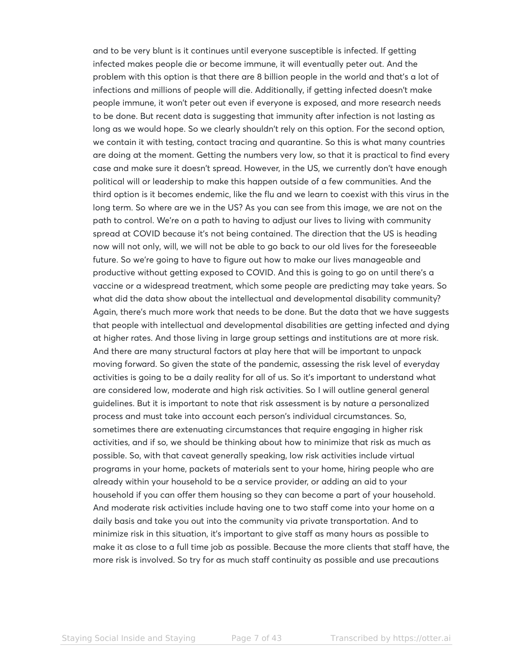and to be very blunt is it continues until everyone susceptible is infected. If getting infected makes people die or become immune, it will eventually peter out. And the problem with this option is that there are 8 billion people in the world and that's a lot of infections and millions of people will die. Additionally, if getting infected doesn't make people immune, it won't peter out even if everyone is exposed, and more research needs to be done. But recent data is suggesting that immunity after infection is not lasting as long as we would hope. So we clearly shouldn't rely on this option. For the second option, we contain it with testing, contact tracing and quarantine. So this is what many countries are doing at the moment. Getting the numbers very low, so that it is practical to find every case and make sure it doesn't spread. However, in the US, we currently don't have enough political will or leadership to make this happen outside of a few communities. And the third option is it becomes endemic, like the flu and we learn to coexist with this virus in the long term. So where are we in the US? As you can see from this image, we are not on the path to control. We're on a path to having to adjust our lives to living with community spread at COVID because it's not being contained. The direction that the US is heading now will not only, will, we will not be able to go back to our old lives for the foreseeable future. So we're going to have to figure out how to make our lives manageable and productive without getting exposed to COVID. And this is going to go on until there's a vaccine or a widespread treatment, which some people are predicting may take years. So what did the data show about the intellectual and developmental disability community? Again, there's much more work that needs to be done. But the data that we have suggests that people with intellectual and developmental disabilities are getting infected and dying at higher rates. And those living in large group settings and institutions are at more risk. And there are many structural factors at play here that will be important to unpack moving forward. So given the state of the pandemic, assessing the risk level of everyday activities is going to be a daily reality for all of us. So it's important to understand what are considered low, moderate and high risk activities. So I will outline general general guidelines. But it is important to note that risk assessment is by nature a personalized process and must take into account each person's individual circumstances. So, sometimes there are extenuating circumstances that require engaging in higher risk activities, and if so, we should be thinking about how to minimize that risk as much as possible. So, with that caveat generally speaking, low risk activities include virtual programs in your home, packets of materials sent to your home, hiring people who are already within your household to be a service provider, or adding an aid to your household if you can offer them housing so they can become a part of your household. And moderate risk activities include having one to two staff come into your home on a daily basis and take you out into the community via private transportation. And to minimize risk in this situation, it's important to give staff as many hours as possible to make it as close to a full time job as possible. Because the more clients that staff have, the more risk is involved. So try for as much staff continuity as possible and use precautions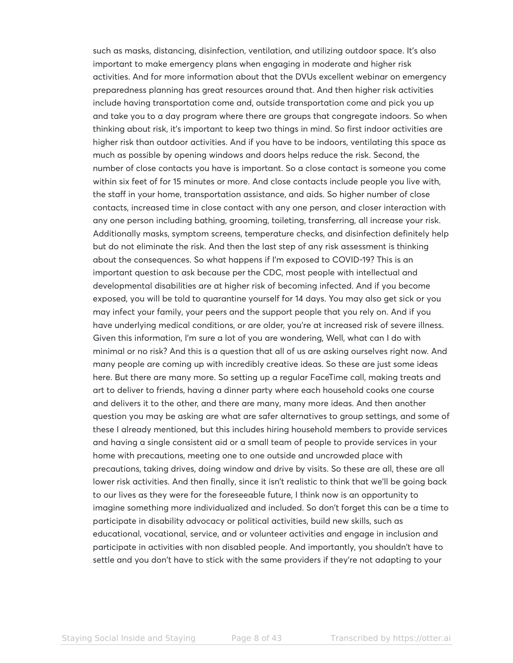such as masks, distancing, disinfection, ventilation, and utilizing outdoor space. It's also important to make emergency plans when engaging in moderate and higher risk activities. And for more information about that the DVUs excellent webinar on emergency preparedness planning has great resources around that. And then higher risk activities include having transportation come and, outside transportation come and pick you up and take you to a day program where there are groups that congregate indoors. So when thinking about risk, it's important to keep two things in mind. So first indoor activities are higher risk than outdoor activities. And if you have to be indoors, ventilating this space as much as possible by opening windows and doors helps reduce the risk. Second, the number of close contacts you have is important. So a close contact is someone you come within six feet of for 15 minutes or more. And close contacts include people you live with, the staff in your home, transportation assistance, and aids. So higher number of close contacts, increased time in close contact with any one person, and closer interaction with any one person including bathing, grooming, toileting, transferring, all increase your risk. Additionally masks, symptom screens, temperature checks, and disinfection definitely help but do not eliminate the risk. And then the last step of any risk assessment is thinking about the consequences. So what happens if I'm exposed to COVID-19? This is an important question to ask because per the CDC, most people with intellectual and developmental disabilities are at higher risk of becoming infected. And if you become exposed, you will be told to quarantine yourself for 14 days. You may also get sick or you may infect your family, your peers and the support people that you rely on. And if you have underlying medical conditions, or are older, you're at increased risk of severe illness. Given this information, I'm sure a lot of you are wondering, Well, what can I do with minimal or no risk? And this is a question that all of us are asking ourselves right now. And many people are coming up with incredibly creative ideas. So these are just some ideas here. But there are many more. So setting up a regular FaceTime call, making treats and art to deliver to friends, having a dinner party where each household cooks one course and delivers it to the other, and there are many, many more ideas. And then another question you may be asking are what are safer alternatives to group settings, and some of these I already mentioned, but this includes hiring household members to provide services and having a single consistent aid or a small team of people to provide services in your home with precautions, meeting one to one outside and uncrowded place with precautions, taking drives, doing window and drive by visits. So these are all, these are all lower risk activities. And then finally, since it isn't realistic to think that we'll be going back to our lives as they were for the foreseeable future, I think now is an opportunity to imagine something more individualized and included. So don't forget this can be a time to participate in disability advocacy or political activities, build new skills, such as educational, vocational, service, and or volunteer activities and engage in inclusion and participate in activities with non disabled people. And importantly, you shouldn't have to settle and you don't have to stick with the same providers if they're not adapting to your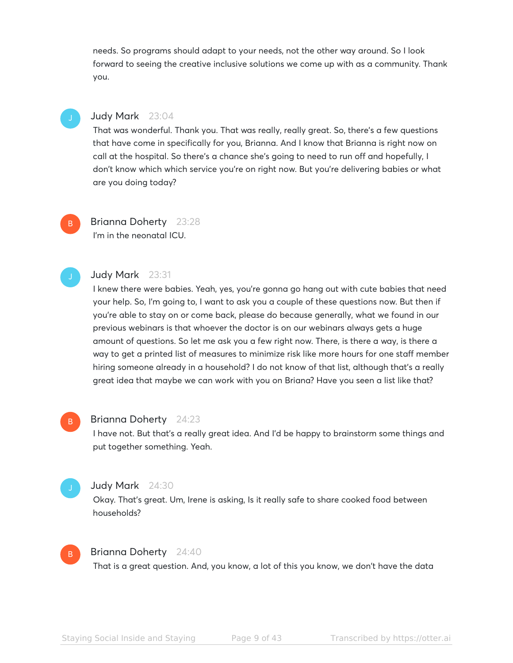needs. So programs should adapt to your needs, not the other way around. So I look forward to seeing the creative inclusive solutions we come up with as a community. Thank you.

B

# Judy Mark 23:04

That was wonderful. Thank you. That was really, really great. So, there's a few questions that have come in specifically for you, Brianna. And I know that Brianna is right now on call at the hospital. So there's a chance she's going to need to run off and hopefully, I don't know which which service you're on right now. But you're delivering babies or what are you doing today?

# Brianna Doherty 23:28 I'm in the neonatal ICU.

# Judy Mark 23:31

I knew there were babies. Yeah, yes, you're gonna go hang out with cute babies that need your help. So, I'm going to, I want to ask you a couple of these questions now. But then if you're able to stay on or come back, please do because generally, what we found in our previous webinars is that whoever the doctor is on our webinars always gets a huge amount of questions. So let me ask you a few right now. There, is there a way, is there a way to get a printed list of measures to minimize risk like more hours for one staff member hiring someone already in a household? I do not know of that list, although that's a really great idea that maybe we can work with you on Briana? Have you seen a list like that?

## Brianna Doherty 24:23 B

I have not. But that's a really great idea. And I'd be happy to brainstorm some things and put together something. Yeah.

# Judy Mark 24:30

Okay. That's great. Um, Irene is asking, Is it really safe to share cooked food between households?



# Brianna Doherty 24:40

That is a great question. And, you know, a lot of this you know, we don't have the data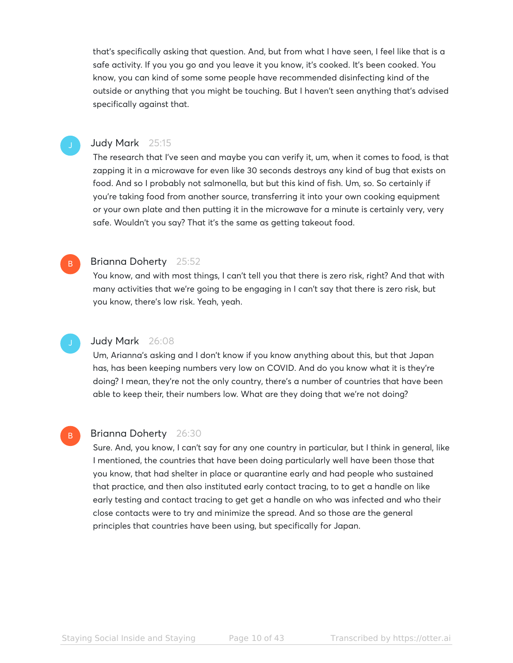that's specifically asking that question. And, but from what I have seen, I feel like that is a safe activity. If you you go and you leave it you know, it's cooked. It's been cooked. You know, you can kind of some some people have recommended disinfecting kind of the outside or anything that you might be touching. But I haven't seen anything that's advised specifically against that.

# Judy Mark 25:15

The research that I've seen and maybe you can verify it, um, when it comes to food, is that zapping it in a microwave for even like 30 seconds destroys any kind of bug that exists on food. And so I probably not salmonella, but but this kind of fish. Um, so. So certainly if you're taking food from another source, transferring it into your own cooking equipment or your own plate and then putting it in the microwave for a minute is certainly very, very safe. Wouldn't you say? That it's the same as getting takeout food.

# Brianna Doherty 25:52

B

B

You know, and with most things, I can't tell you that there is zero risk, right? And that with many activities that we're going to be engaging in I can't say that there is zero risk, but you know, there's low risk. Yeah, yeah.

# Judy Mark 26:08

Um, Arianna's asking and I don't know if you know anything about this, but that Japan has, has been keeping numbers very low on COVID. And do you know what it is they're doing? I mean, they're not the only country, there's a number of countries that have been able to keep their, their numbers low. What are they doing that we're not doing?

# Brianna Doherty 26:30

Sure. And, you know, I can't say for any one country in particular, but I think in general, like I mentioned, the countries that have been doing particularly well have been those that you know, that had shelter in place or quarantine early and had people who sustained that practice, and then also instituted early contact tracing, to to get a handle on like early testing and contact tracing to get get a handle on who was infected and who their close contacts were to try and minimize the spread. And so those are the general principles that countries have been using, but specifically for Japan.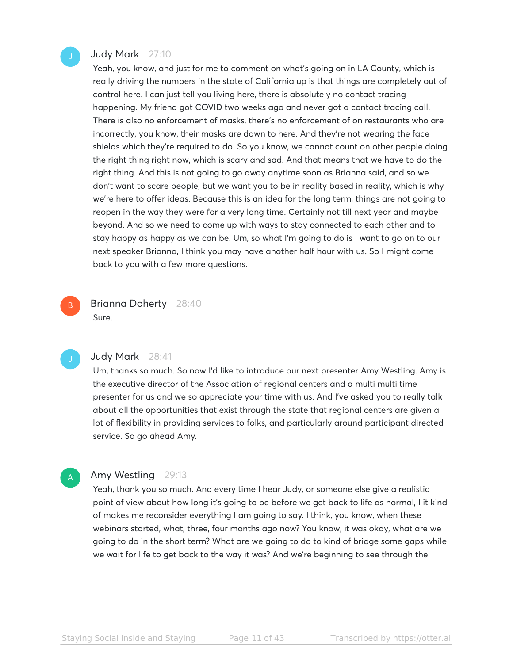# Judy Mark 27:10

Yeah, you know, and just for me to comment on what's going on in LA County, which is really driving the numbers in the state of California up is that things are completely out of control here. I can just tell you living here, there is absolutely no contact tracing happening. My friend got COVID two weeks ago and never got a contact tracing call. There is also no enforcement of masks, there's no enforcement of on restaurants who are incorrectly, you know, their masks are down to here. And they're not wearing the face shields which they're required to do. So you know, we cannot count on other people doing the right thing right now, which is scary and sad. And that means that we have to do the right thing. And this is not going to go away anytime soon as Brianna said, and so we don't want to scare people, but we want you to be in reality based in reality, which is why we're here to offer ideas. Because this is an idea for the long term, things are not going to reopen in the way they were for a very long time. Certainly not till next year and maybe beyond. And so we need to come up with ways to stay connected to each other and to stay happy as happy as we can be. Um, so what I'm going to do is I want to go on to our next speaker Brianna, I think you may have another half hour with us. So I might come back to you with a few more questions.

Brianna Doherty 28:40 Sure.



A

B

# Judy Mark 28:41

Um, thanks so much. So now I'd like to introduce our next presenter Amy Westling. Amy is the executive director of the Association of regional centers and a multi multi time presenter for us and we so appreciate your time with us. And I've asked you to really talk about all the opportunities that exist through the state that regional centers are given a lot of flexibility in providing services to folks, and particularly around participant directed service. So go ahead Amy.

# Amy Westling 29:13

Yeah, thank you so much. And every time I hear Judy, or someone else give a realistic point of view about how long it's going to be before we get back to life as normal, I it kind of makes me reconsider everything I am going to say. I think, you know, when these webinars started, what, three, four months ago now? You know, it was okay, what are we going to do in the short term? What are we going to do to kind of bridge some gaps while we wait for life to get back to the way it was? And we're beginning to see through the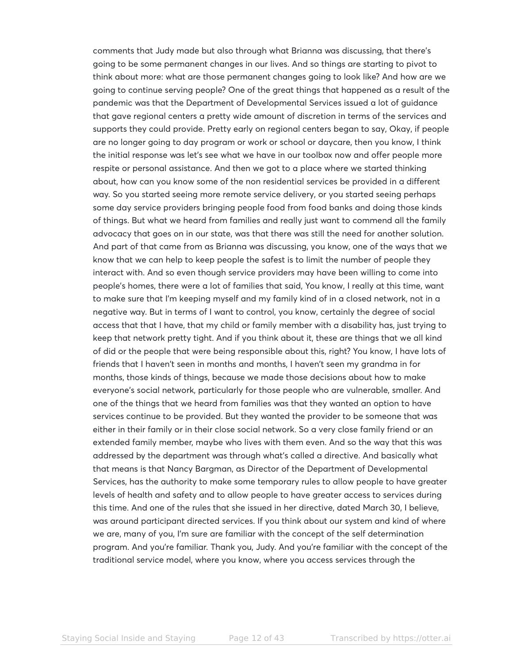comments that Judy made but also through what Brianna was discussing, that there's going to be some permanent changes in our lives. And so things are starting to pivot to think about more: what are those permanent changes going to look like? And how are we going to continue serving people? One of the great things that happened as a result of the pandemic was that the Department of Developmental Services issued a lot of guidance that gave regional centers a pretty wide amount of discretion in terms of the services and supports they could provide. Pretty early on regional centers began to say, Okay, if people are no longer going to day program or work or school or daycare, then you know, I think the initial response was let's see what we have in our toolbox now and offer people more respite or personal assistance. And then we got to a place where we started thinking about, how can you know some of the non residential services be provided in a different way. So you started seeing more remote service delivery, or you started seeing perhaps some day service providers bringing people food from food banks and doing those kinds of things. But what we heard from families and really just want to commend all the family advocacy that goes on in our state, was that there was still the need for another solution. And part of that came from as Brianna was discussing, you know, one of the ways that we know that we can help to keep people the safest is to limit the number of people they interact with. And so even though service providers may have been willing to come into people's homes, there were a lot of families that said, You know, I really at this time, want to make sure that I'm keeping myself and my family kind of in a closed network, not in a negative way. But in terms of I want to control, you know, certainly the degree of social access that that I have, that my child or family member with a disability has, just trying to keep that network pretty tight. And if you think about it, these are things that we all kind of did or the people that were being responsible about this, right? You know, I have lots of friends that I haven't seen in months and months, I haven't seen my grandma in for months, those kinds of things, because we made those decisions about how to make everyone's social network, particularly for those people who are vulnerable, smaller. And one of the things that we heard from families was that they wanted an option to have services continue to be provided. But they wanted the provider to be someone that was either in their family or in their close social network. So a very close family friend or an extended family member, maybe who lives with them even. And so the way that this was addressed by the department was through what's called a directive. And basically what that means is that Nancy Bargman, as Director of the Department of Developmental Services, has the authority to make some temporary rules to allow people to have greater levels of health and safety and to allow people to have greater access to services during this time. And one of the rules that she issued in her directive, dated March 30, I believe, was around participant directed services. If you think about our system and kind of where we are, many of you, I'm sure are familiar with the concept of the self determination program. And you're familiar. Thank you, Judy. And you're familiar with the concept of the traditional service model, where you know, where you access services through the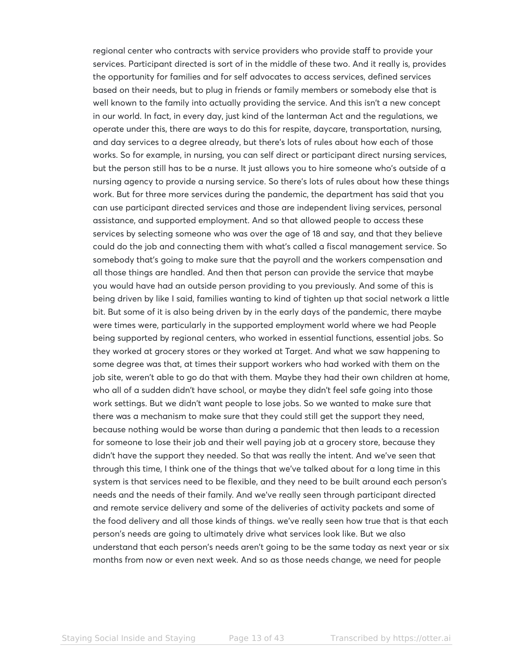regional center who contracts with service providers who provide staff to provide your services. Participant directed is sort of in the middle of these two. And it really is, provides the opportunity for families and for self advocates to access services, defined services based on their needs, but to plug in friends or family members or somebody else that is well known to the family into actually providing the service. And this isn't a new concept in our world. In fact, in every day, just kind of the lanterman Act and the regulations, we operate under this, there are ways to do this for respite, daycare, transportation, nursing, and day services to a degree already, but there's lots of rules about how each of those works. So for example, in nursing, you can self direct or participant direct nursing services, but the person still has to be a nurse. It just allows you to hire someone who's outside of a nursing agency to provide a nursing service. So there's lots of rules about how these things work. But for three more services during the pandemic, the department has said that you can use participant directed services and those are independent living services, personal assistance, and supported employment. And so that allowed people to access these services by selecting someone who was over the age of 18 and say, and that they believe could do the job and connecting them with what's called a fiscal management service. So somebody that's going to make sure that the payroll and the workers compensation and all those things are handled. And then that person can provide the service that maybe you would have had an outside person providing to you previously. And some of this is being driven by like I said, families wanting to kind of tighten up that social network a little bit. But some of it is also being driven by in the early days of the pandemic, there maybe were times were, particularly in the supported employment world where we had People being supported by regional centers, who worked in essential functions, essential jobs. So they worked at grocery stores or they worked at Target. And what we saw happening to some degree was that, at times their support workers who had worked with them on the job site, weren't able to go do that with them. Maybe they had their own children at home, who all of a sudden didn't have school, or maybe they didn't feel safe going into those work settings. But we didn't want people to lose jobs. So we wanted to make sure that there was a mechanism to make sure that they could still get the support they need, because nothing would be worse than during a pandemic that then leads to a recession for someone to lose their job and their well paying job at a grocery store, because they didn't have the support they needed. So that was really the intent. And we've seen that through this time, I think one of the things that we've talked about for a long time in this system is that services need to be flexible, and they need to be built around each person's needs and the needs of their family. And we've really seen through participant directed and remote service delivery and some of the deliveries of activity packets and some of the food delivery and all those kinds of things. we've really seen how true that is that each person's needs are going to ultimately drive what services look like. But we also understand that each person's needs aren't going to be the same today as next year or six months from now or even next week. And so as those needs change, we need for people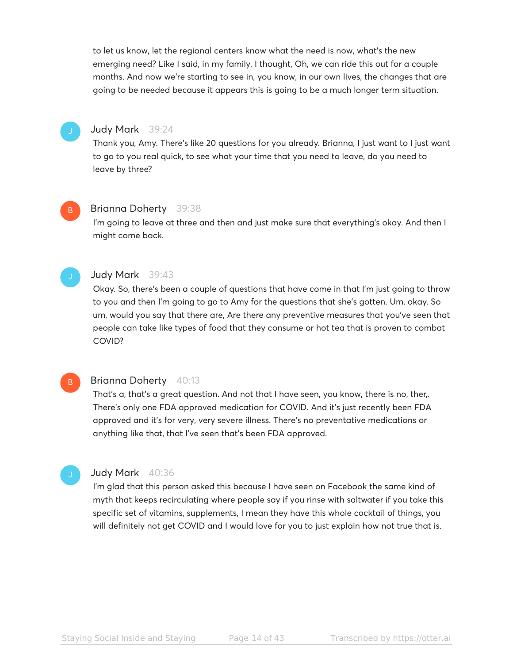to let us know, let the regional centers know what the need is now, what's the new emerging need? Like I said, in my family, I thought, Oh, we can ride this out for a couple months. And now we're starting to see in, you know, in our own lives, the changes that are going to be needed because it appears this is going to be a much longer term situation.



# Judy Mark 39:24

Thank you, Amy. There's like 20 questions for you already. Brianna, I just want to I just want to go to you real quick, to see what your time that you need to leave, do you need to leave by three?

# B

# Brianna Doherty 39:38

I'm going to leave at three and then and just make sure that everything's okay. And then I might come back.



# Judy Mark 39:43

Okay. So, there's been a couple of questions that have come in that I'm just going to throw to you and then I'm going to go to Amy for the questions that she's gotten. Um, okay. So um, would you say that there are, Are there any preventive measures that you've seen that people can take like types of food that they consume or hot tea that is proven to combat COVID?

# B

# Brianna Doherty 40:13

That's a, that's a great question. And not that I have seen, you know, there is no, ther,. There's only one FDA approved medication for COVID. And it's just recently been FDA approved and it's for very, very severe illness. There's no preventative medications or anything like that, that I've seen that's been FDA approved.

# Judy Mark 40:36

I'm glad that this person asked this because I have seen on Facebook the same kind of myth that keeps recirculating where people say if you rinse with saltwater if you take this specific set of vitamins, supplements, I mean they have this whole cocktail of things, you will definitely not get COVID and I would love for you to just explain how not true that is.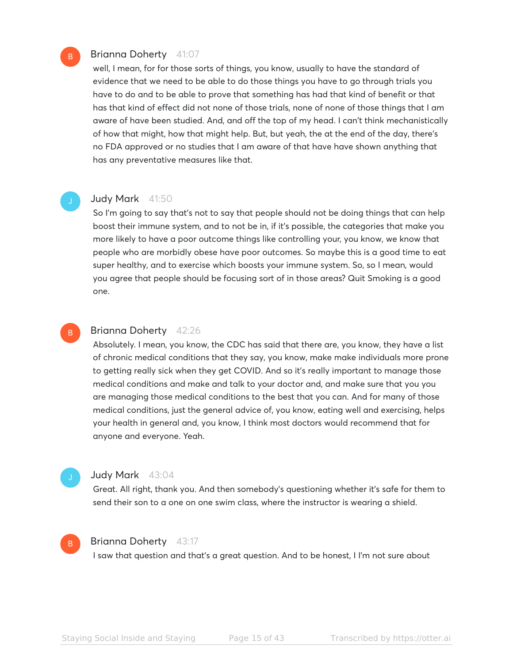# Brianna Doherty 41:07

well, I mean, for for those sorts of things, you know, usually to have the standard of evidence that we need to be able to do those things you have to go through trials you have to do and to be able to prove that something has had that kind of benefit or that has that kind of effect did not none of those trials, none of none of those things that I am aware of have been studied. And, and off the top of my head. I can't think mechanistically of how that might, how that might help. But, but yeah, the at the end of the day, there's no FDA approved or no studies that I am aware of that have have shown anything that has any preventative measures like that.

# Judy Mark 41:50

So I'm going to say that's not to say that people should not be doing things that can help boost their immune system, and to not be in, if it's possible, the categories that make you more likely to have a poor outcome things like controlling your, you know, we know that people who are morbidly obese have poor outcomes. So maybe this is a good time to eat super healthy, and to exercise which boosts your immune system. So, so I mean, would you agree that people should be focusing sort of in those areas? Quit Smoking is a good one.

# B

B

# Brianna Doherty 42:26

Absolutely. I mean, you know, the CDC has said that there are, you know, they have a list of chronic medical conditions that they say, you know, make make individuals more prone to getting really sick when they get COVID. And so it's really important to manage those medical conditions and make and talk to your doctor and, and make sure that you you are managing those medical conditions to the best that you can. And for many of those medical conditions, just the general advice of, you know, eating well and exercising, helps your health in general and, you know, I think most doctors would recommend that for anyone and everyone. Yeah.

B

# Judy Mark 43:04

Great. All right, thank you. And then somebody's questioning whether it's safe for them to send their son to a one on one swim class, where the instructor is wearing a shield.

# Brianna Doherty 43:17

I saw that question and that's a great question. And to be honest, I I'm not sure about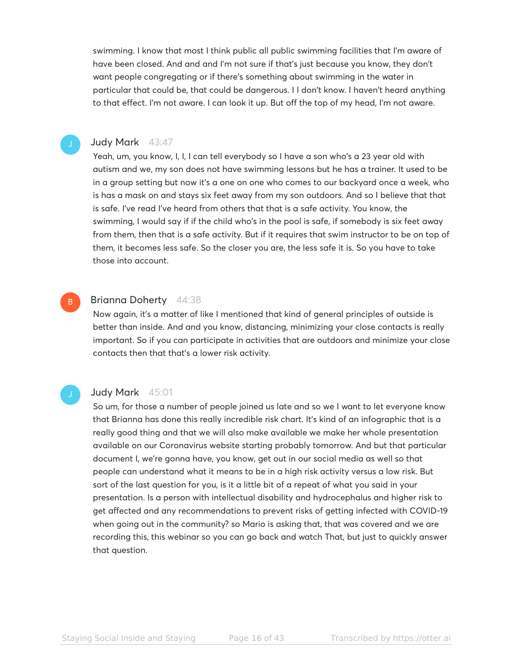swimming. I know that most I think public all public swimming facilities that I'm aware of have been closed. And and and I'm not sure if that's just because you know, they don't want people congregating or if there's something about swimming in the water in particular that could be, that could be dangerous. I I don't know. I haven't heard anything to that effect. I'm not aware. I can look it up. But off the top of my head, I'm not aware.

# Judy Mark 43:47

Yeah, um, you know, I, I, I can tell everybody so I have a son who's a 23 year old with autism and we, my son does not have swimming lessons but he has a trainer. It used to be in a group setting but now it's a one on one who comes to our backyard once a week, who is has a mask on and stays six feet away from my son outdoors. And so I believe that that is safe. I've read I've heard from others that that is a safe activity. You know, the swimming, I would say if if the child who's in the pool is safe, if somebody is six feet away from them, then that is a safe activity. But if it requires that swim instructor to be on top of them, it becomes less safe. So the closer you are, the less safe it is. So you have to take those into account.

## Brianna Doherty 44:38 B

Now again, it's a matter of like I mentioned that kind of general principles of outside is better than inside. And and you know, distancing, minimizing your close contacts is really important. So if you can participate in activities that are outdoors and minimize your close contacts then that that's a lower risk activity.

# Judy Mark 45:01

So um, for those a number of people joined us late and so we I want to let everyone know that Brianna has done this really incredible risk chart. It's kind of an infographic that is a really good thing and that we will also make available we make her whole presentation available on our Coronavirus website starting probably tomorrow. And but that particular document I, we're gonna have, you know, get out in our social media as well so that people can understand what it means to be in a high risk activity versus a low risk. But sort of the last question for you, is it a little bit of a repeat of what you said in your presentation. Is a person with intellectual disability and hydrocephalus and higher risk to get affected and any recommendations to prevent risks of getting infected with COVID-19 when going out in the community? so Mario is asking that, that was covered and we are recording this, this webinar so you can go back and watch That, but just to quickly answer that question.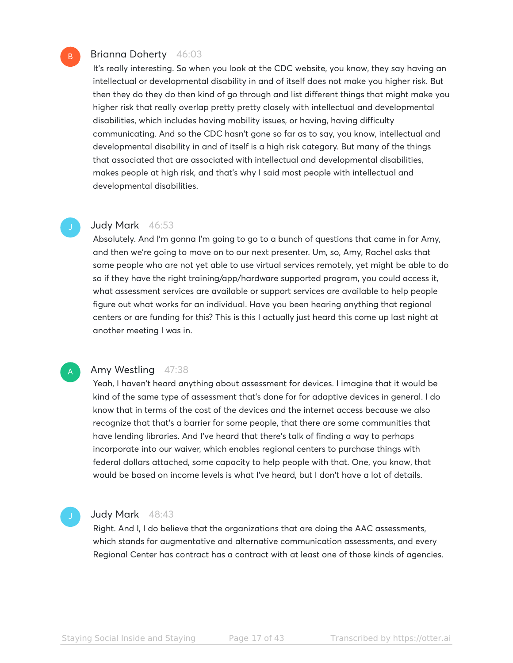# Brianna Doherty 46:03

It's really interesting. So when you look at the CDC website, you know, they say having an intellectual or developmental disability in and of itself does not make you higher risk. But then they do they do then kind of go through and list different things that might make you higher risk that really overlap pretty pretty closely with intellectual and developmental disabilities, which includes having mobility issues, or having, having difficulty communicating. And so the CDC hasn't gone so far as to say, you know, intellectual and developmental disability in and of itself is a high risk category. But many of the things that associated that are associated with intellectual and developmental disabilities, makes people at high risk, and that's why I said most people with intellectual and developmental disabilities.

# Judy Mark 46:53

Absolutely. And I'm gonna I'm going to go to a bunch of questions that came in for Amy, and then we're going to move on to our next presenter. Um, so, Amy, Rachel asks that some people who are not yet able to use virtual services remotely, yet might be able to do so if they have the right training/app/hardware supported program, you could access it, what assessment services are available or support services are available to help people figure out what works for an individual. Have you been hearing anything that regional centers or are funding for this? This is this I actually just heard this come up last night at another meeting I was in.

# A

B

# Amy Westling 47:38

Yeah, I haven't heard anything about assessment for devices. I imagine that it would be kind of the same type of assessment that's done for for adaptive devices in general. I do know that in terms of the cost of the devices and the internet access because we also recognize that that's a barrier for some people, that there are some communities that have lending libraries. And I've heard that there's talk of finding a way to perhaps incorporate into our waiver, which enables regional centers to purchase things with federal dollars attached, some capacity to help people with that. One, you know, that would be based on income levels is what I've heard, but I don't have a lot of details.

# Judy Mark 48:43

Right. And I, I do believe that the organizations that are doing the AAC assessments, which stands for augmentative and alternative communication assessments, and every Regional Center has contract has a contract with at least one of those kinds of agencies.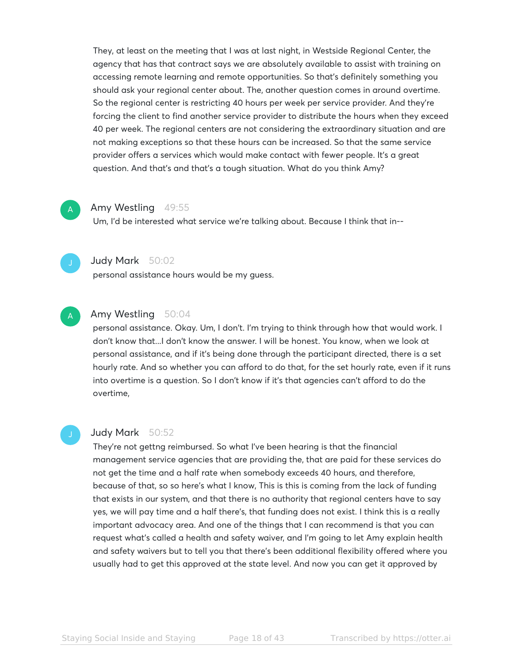They, at least on the meeting that I was at last night, in Westside Regional Center, the agency that has that contract says we are absolutely available to assist with training on accessing remote learning and remote opportunities. So that's definitely something you should ask your regional center about. The, another question comes in around overtime. So the regional center is restricting 40 hours per week per service provider. And they're forcing the client to find another service provider to distribute the hours when they exceed 40 per week. The regional centers are not considering the extraordinary situation and are not making exceptions so that these hours can be increased. So that the same service provider offers a services which would make contact with fewer people. It's a great question. And that's and that's a tough situation. What do you think Amy?

# Amy Westling 49:55

Um, I'd be interested what service we're talking about. Because I think that in--



A

# Judy Mark 50:02

personal assistance hours would be my guess.



# Amy Westling 50:04

personal assistance. Okay. Um, I don't. I'm trying to think through how that would work. I don't know that...I don't know the answer. I will be honest. You know, when we look at personal assistance, and if it's being done through the participant directed, there is a set hourly rate. And so whether you can afford to do that, for the set hourly rate, even if it runs into overtime is a question. So I don't know if it's that agencies can't afford to do the overtime,

# Judy Mark 50:52

They're not gettng reimbursed. So what I've been hearing is that the financial management service agencies that are providing the, that are paid for these services do not get the time and a half rate when somebody exceeds 40 hours, and therefore, because of that, so so here's what I know, This is this is coming from the lack of funding that exists in our system, and that there is no authority that regional centers have to say yes, we will pay time and a half there's, that funding does not exist. I think this is a really important advocacy area. And one of the things that I can recommend is that you can request what's called a health and safety waiver, and I'm going to let Amy explain health and safety waivers but to tell you that there's been additional flexibility offered where you usually had to get this approved at the state level. And now you can get it approved by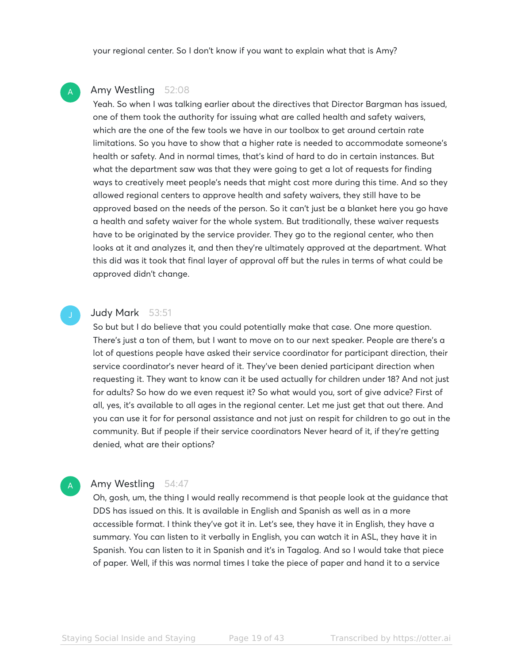your regional center. So I don't know if you want to explain what that is Amy?

# Amy Westling 52:08

A

Yeah. So when I was talking earlier about the directives that Director Bargman has issued, one of them took the authority for issuing what are called health and safety waivers, which are the one of the few tools we have in our toolbox to get around certain rate limitations. So you have to show that a higher rate is needed to accommodate someone's health or safety. And in normal times, that's kind of hard to do in certain instances. But what the department saw was that they were going to get a lot of requests for finding ways to creatively meet people's needs that might cost more during this time. And so they allowed regional centers to approve health and safety waivers, they still have to be approved based on the needs of the person. So it can't just be a blanket here you go have a health and safety waiver for the whole system. But traditionally, these waiver requests have to be originated by the service provider. They go to the regional center, who then looks at it and analyzes it, and then they're ultimately approved at the department. What this did was it took that final layer of approval off but the rules in terms of what could be approved didn't change.

# Judy Mark 53:51

So but but I do believe that you could potentially make that case. One more question. There's just a ton of them, but I want to move on to our next speaker. People are there's a lot of questions people have asked their service coordinator for participant direction, their service coordinator's never heard of it. They've been denied participant direction when requesting it. They want to know can it be used actually for children under 18? And not just for adults? So how do we even request it? So what would you, sort of give advice? First of all, yes, it's available to all ages in the regional center. Let me just get that out there. And you can use it for for personal assistance and not just on respit for children to go out in the community. But if people if their service coordinators Never heard of it, if they're getting denied, what are their options?

# Amy Westling 54:47

A

Oh, gosh, um, the thing I would really recommend is that people look at the guidance that DDS has issued on this. It is available in English and Spanish as well as in a more accessible format. I think they've got it in. Let's see, they have it in English, they have a summary. You can listen to it verbally in English, you can watch it in ASL, they have it in Spanish. You can listen to it in Spanish and it's in Tagalog. And so I would take that piece of paper. Well, if this was normal times I take the piece of paper and hand it to a service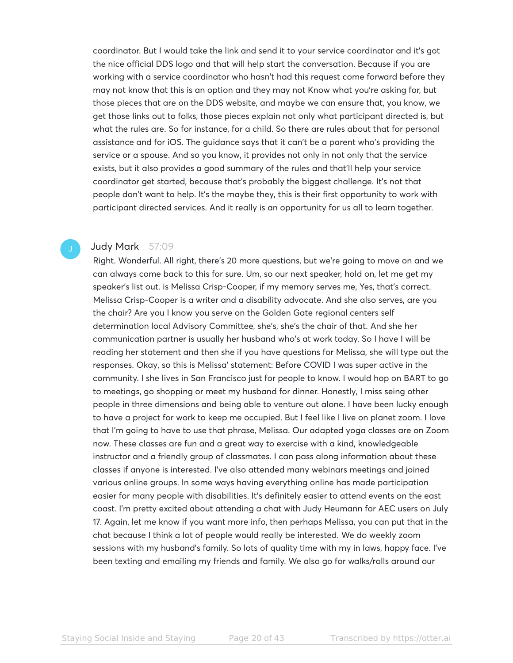coordinator. But I would take the link and send it to your service coordinator and it's got the nice official DDS logo and that will help start the conversation. Because if you are working with a service coordinator who hasn't had this request come forward before they may not know that this is an option and they may not Know what you're asking for, but those pieces that are on the DDS website, and maybe we can ensure that, you know, we get those links out to folks, those pieces explain not only what participant directed is, but what the rules are. So for instance, for a child. So there are rules about that for personal assistance and for iOS. The guidance says that it can't be a parent who's providing the service or a spouse. And so you know, it provides not only in not only that the service exists, but it also provides a good summary of the rules and that'll help your service coordinator get started, because that's probably the biggest challenge. It's not that people don't want to help. It's the maybe they, this is their first opportunity to work with participant directed services. And it really is an opportunity for us all to learn together.

# Judy Mark 57:09

Right. Wonderful. All right, there's 20 more questions, but we're going to move on and we can always come back to this for sure. Um, so our next speaker, hold on, let me get my speaker's list out. is Melissa Crisp-Cooper, if my memory serves me, Yes, that's correct. Melissa Crisp-Cooper is a writer and a disability advocate. And she also serves, are you the chair? Are you I know you serve on the Golden Gate regional centers self determination local Advisory Committee, she's, she's the chair of that. And she her communication partner is usually her husband who's at work today. So I have I will be reading her statement and then she if you have questions for Melissa, she will type out the responses. Okay, so this is Melissa' statement: Before COVID I was super active in the community. I she lives in San Francisco just for people to know. I would hop on BART to go to meetings, go shopping or meet my husband for dinner. Honestly, I miss seing other people in three dimensions and being able to venture out alone. I have been lucky enough to have a project for work to keep me occupied. But I feel like I live on planet zoom. I love that I'm going to have to use that phrase, Melissa. Our adapted yoga classes are on Zoom now. These classes are fun and a great way to exercise with a kind, knowledgeable instructor and a friendly group of classmates. I can pass along information about these classes if anyone is interested. I've also attended many webinars meetings and joined various online groups. In some ways having everything online has made participation easier for many people with disabilities. It's definitely easier to attend events on the east coast. I'm pretty excited about attending a chat with Judy Heumann for AEC users on July 17. Again, let me know if you want more info, then perhaps Melissa, you can put that in the chat because I think a lot of people would really be interested. We do weekly zoom sessions with my husband's family. So lots of quality time with my in laws, happy face. I've been texting and emailing my friends and family. We also go for walks/rolls around our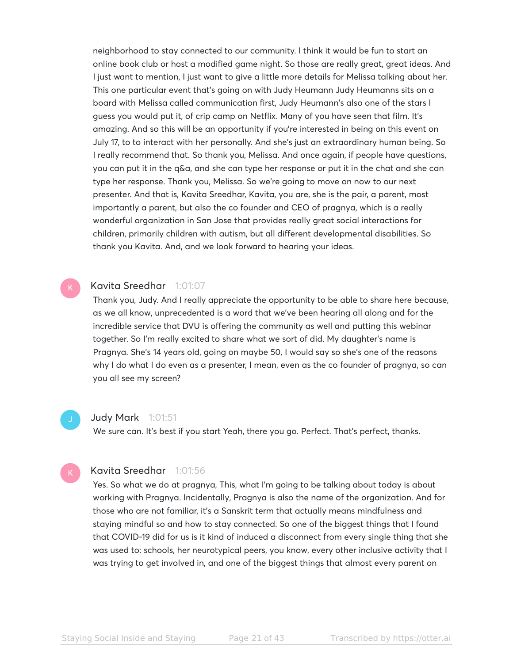neighborhood to stay connected to our community. I think it would be fun to start an online book club or host a modified game night. So those are really great, great ideas. And I just want to mention, I just want to give a little more details for Melissa talking about her. This one particular event that's going on with Judy Heumann Judy Heumanns sits on a board with Melissa called communication first, Judy Heumann's also one of the stars I guess you would put it, of crip camp on Netflix. Many of you have seen that film. It's amazing. And so this will be an opportunity if you're interested in being on this event on July 17, to to interact with her personally. And she's just an extraordinary human being. So I really recommend that. So thank you, Melissa. And once again, if people have questions, you can put it in the q&a, and she can type her response or put it in the chat and she can type her response. Thank you, Melissa. So we're going to move on now to our next presenter. And that is, Kavita Sreedhar, Kavita, you are, she is the pair, a parent, most importantly a parent, but also the co founder and CEO of pragnya, which is a really wonderful organization in San Jose that provides really great social interactions for children, primarily children with autism, but all different developmental disabilities. So thank you Kavita. And, and we look forward to hearing your ideas.

# Kavita Sreedhar 1:01:07

Thank you, Judy. And I really appreciate the opportunity to be able to share here because, as we all know, unprecedented is a word that we've been hearing all along and for the incredible service that DVU is offering the community as well and putting this webinar together. So I'm really excited to share what we sort of did. My daughter's name is Pragnya. She's 14 years old, going on maybe 50, I would say so she's one of the reasons why I do what I do even as a presenter, I mean, even as the co founder of pragnya, so can you all see my screen?

## Judy Mark 1:01:51

We sure can. It's best if you start Yeah, there you go. Perfect. That's perfect, thanks.

# Kavita Sreedhar 1:01:56

Yes. So what we do at pragnya, This, what I'm going to be talking about today is about working with Pragnya. Incidentally, Pragnya is also the name of the organization. And for those who are not familiar, it's a Sanskrit term that actually means mindfulness and staying mindful so and how to stay connected. So one of the biggest things that I found that COVID-19 did for us is it kind of induced a disconnect from every single thing that she was used to: schools, her neurotypical peers, you know, every other inclusive activity that I was trying to get involved in, and one of the biggest things that almost every parent on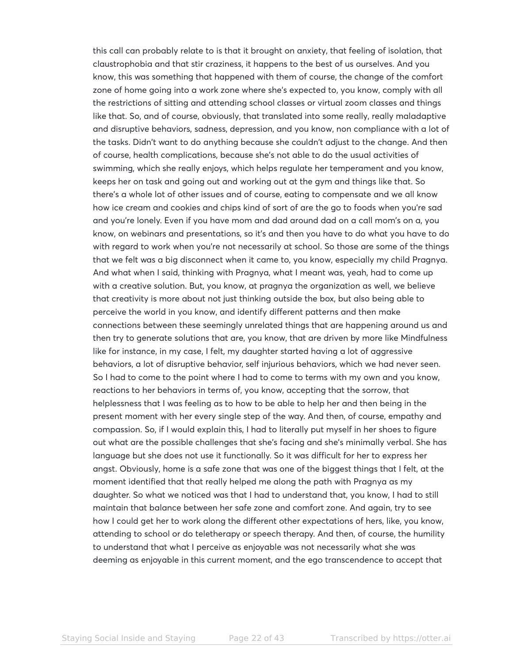this call can probably relate to is that it brought on anxiety, that feeling of isolation, that claustrophobia and that stir craziness, it happens to the best of us ourselves. And you know, this was something that happened with them of course, the change of the comfort zone of home going into a work zone where she's expected to, you know, comply with all the restrictions of sitting and attending school classes or virtual zoom classes and things like that. So, and of course, obviously, that translated into some really, really maladaptive and disruptive behaviors, sadness, depression, and you know, non compliance with a lot of the tasks. Didn't want to do anything because she couldn't adjust to the change. And then of course, health complications, because she's not able to do the usual activities of swimming, which she really enjoys, which helps regulate her temperament and you know, keeps her on task and going out and working out at the gym and things like that. So there's a whole lot of other issues and of course, eating to compensate and we all know how ice cream and cookies and chips kind of sort of are the go to foods when you're sad and you're lonely. Even if you have mom and dad around dad on a call mom's on a, you know, on webinars and presentations, so it's and then you have to do what you have to do with regard to work when you're not necessarily at school. So those are some of the things that we felt was a big disconnect when it came to, you know, especially my child Pragnya. And what when I said, thinking with Pragnya, what I meant was, yeah, had to come up with a creative solution. But, you know, at pragnya the organization as well, we believe that creativity is more about not just thinking outside the box, but also being able to perceive the world in you know, and identify different patterns and then make connections between these seemingly unrelated things that are happening around us and then try to generate solutions that are, you know, that are driven by more like Mindfulness like for instance, in my case, I felt, my daughter started having a lot of aggressive behaviors, a lot of disruptive behavior, self injurious behaviors, which we had never seen. So I had to come to the point where I had to come to terms with my own and you know, reactions to her behaviors in terms of, you know, accepting that the sorrow, that helplessness that I was feeling as to how to be able to help her and then being in the present moment with her every single step of the way. And then, of course, empathy and compassion. So, if I would explain this, I had to literally put myself in her shoes to figure out what are the possible challenges that she's facing and she's minimally verbal. She has language but she does not use it functionally. So it was difficult for her to express her angst. Obviously, home is a safe zone that was one of the biggest things that I felt, at the moment identified that that really helped me along the path with Pragnya as my daughter. So what we noticed was that I had to understand that, you know, I had to still maintain that balance between her safe zone and comfort zone. And again, try to see how I could get her to work along the different other expectations of hers, like, you know, attending to school or do teletherapy or speech therapy. And then, of course, the humility to understand that what I perceive as enjoyable was not necessarily what she was deeming as enjoyable in this current moment, and the ego transcendence to accept that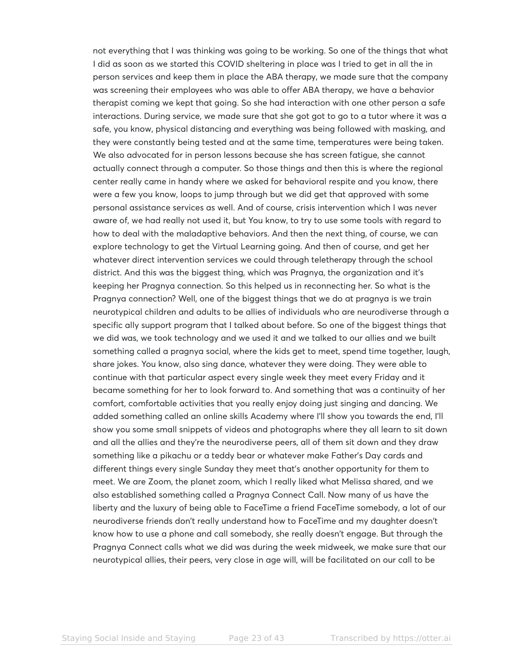not everything that I was thinking was going to be working. So one of the things that what I did as soon as we started this COVID sheltering in place was I tried to get in all the in person services and keep them in place the ABA therapy, we made sure that the company was screening their employees who was able to offer ABA therapy, we have a behavior therapist coming we kept that going. So she had interaction with one other person a safe interactions. During service, we made sure that she got got to go to a tutor where it was a safe, you know, physical distancing and everything was being followed with masking, and they were constantly being tested and at the same time, temperatures were being taken. We also advocated for in person lessons because she has screen fatigue, she cannot actually connect through a computer. So those things and then this is where the regional center really came in handy where we asked for behavioral respite and you know, there were a few you know, loops to jump through but we did get that approved with some personal assistance services as well. And of course, crisis intervention which I was never aware of, we had really not used it, but You know, to try to use some tools with regard to how to deal with the maladaptive behaviors. And then the next thing, of course, we can explore technology to get the Virtual Learning going. And then of course, and get her whatever direct intervention services we could through teletherapy through the school district. And this was the biggest thing, which was Pragnya, the organization and it's keeping her Pragnya connection. So this helped us in reconnecting her. So what is the Pragnya connection? Well, one of the biggest things that we do at pragnya is we train neurotypical children and adults to be allies of individuals who are neurodiverse through a specific ally support program that I talked about before. So one of the biggest things that we did was, we took technology and we used it and we talked to our allies and we built something called a pragnya social, where the kids get to meet, spend time together, laugh, share jokes. You know, also sing dance, whatever they were doing. They were able to continue with that particular aspect every single week they meet every Friday and it became something for her to look forward to. And something that was a continuity of her comfort, comfortable activities that you really enjoy doing just singing and dancing. We added something called an online skills Academy where I'll show you towards the end, I'll show you some small snippets of videos and photographs where they all learn to sit down and all the allies and they're the neurodiverse peers, all of them sit down and they draw something like a pikachu or a teddy bear or whatever make Father's Day cards and different things every single Sunday they meet that's another opportunity for them to meet. We are Zoom, the planet zoom, which I really liked what Melissa shared, and we also established something called a Pragnya Connect Call. Now many of us have the liberty and the luxury of being able to FaceTime a friend FaceTime somebody, a lot of our neurodiverse friends don't really understand how to FaceTime and my daughter doesn't know how to use a phone and call somebody, she really doesn't engage. But through the Pragnya Connect calls what we did was during the week midweek, we make sure that our neurotypical allies, their peers, very close in age will, will be facilitated on our call to be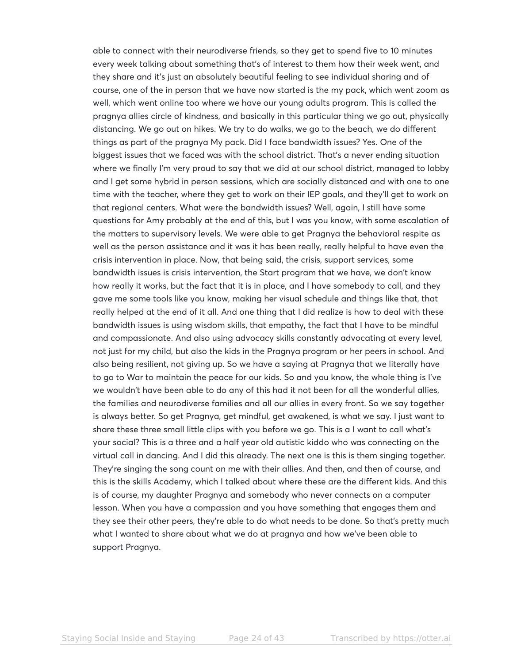able to connect with their neurodiverse friends, so they get to spend five to 10 minutes every week talking about something that's of interest to them how their week went, and they share and it's just an absolutely beautiful feeling to see individual sharing and of course, one of the in person that we have now started is the my pack, which went zoom as well, which went online too where we have our young adults program. This is called the pragnya allies circle of kindness, and basically in this particular thing we go out, physically distancing. We go out on hikes. We try to do walks, we go to the beach, we do different things as part of the pragnya My pack. Did I face bandwidth issues? Yes. One of the biggest issues that we faced was with the school district. That's a never ending situation where we finally I'm very proud to say that we did at our school district, managed to lobby and I get some hybrid in person sessions, which are socially distanced and with one to one time with the teacher, where they get to work on their IEP goals, and they'll get to work on that regional centers. What were the bandwidth issues? Well, again, I still have some questions for Amy probably at the end of this, but I was you know, with some escalation of the matters to supervisory levels. We were able to get Pragnya the behavioral respite as well as the person assistance and it was it has been really, really helpful to have even the crisis intervention in place. Now, that being said, the crisis, support services, some bandwidth issues is crisis intervention, the Start program that we have, we don't know how really it works, but the fact that it is in place, and I have somebody to call, and they gave me some tools like you know, making her visual schedule and things like that, that really helped at the end of it all. And one thing that I did realize is how to deal with these bandwidth issues is using wisdom skills, that empathy, the fact that I have to be mindful and compassionate. And also using advocacy skills constantly advocating at every level, not just for my child, but also the kids in the Pragnya program or her peers in school. And also being resilient, not giving up. So we have a saying at Pragnya that we literally have to go to War to maintain the peace for our kids. So and you know, the whole thing is I've we wouldn't have been able to do any of this had it not been for all the wonderful allies, the families and neurodiverse families and all our allies in every front. So we say together is always better. So get Pragnya, get mindful, get awakened, is what we say. I just want to share these three small little clips with you before we go. This is a I want to call what's your social? This is a three and a half year old autistic kiddo who was connecting on the virtual call in dancing. And I did this already. The next one is this is them singing together. They're singing the song count on me with their allies. And then, and then of course, and this is the skills Academy, which I talked about where these are the different kids. And this is of course, my daughter Pragnya and somebody who never connects on a computer lesson. When you have a compassion and you have something that engages them and they see their other peers, they're able to do what needs to be done. So that's pretty much what I wanted to share about what we do at pragnya and how we've been able to support Pragnya.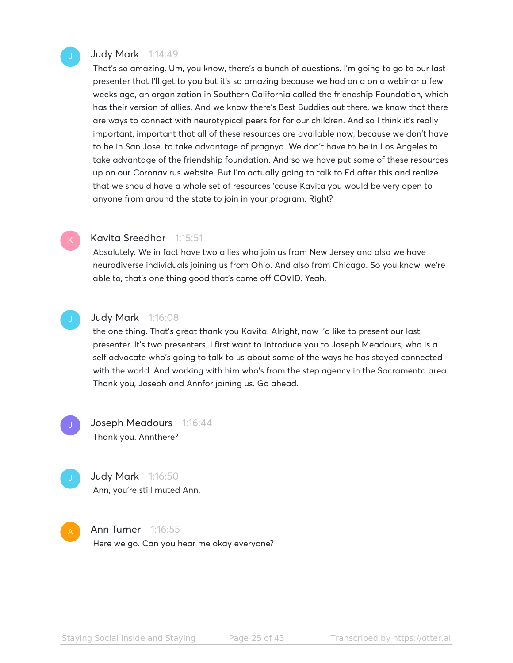# Judy Mark 1:14:49

That's so amazing. Um, you know, there's a bunch of questions. I'm going to go to our last presenter that I'll get to you but it's so amazing because we had on a on a webinar a few weeks ago, an organization in Southern California called the friendship Foundation, which has their version of allies. And we know there's Best Buddies out there, we know that there are ways to connect with neurotypical peers for for our children. And so I think it's really important, important that all of these resources are available now, because we don't have to be in San Jose, to take advantage of pragnya. We don't have to be in Los Angeles to take advantage of the friendship foundation. And so we have put some of these resources up on our Coronavirus website. But I'm actually going to talk to Ed after this and realize that we should have a whole set of resources 'cause Kavita you would be very open to anyone from around the state to join in your program. Right?

# Kavita Sreedhar 1:15:51

Absolutely. We in fact have two allies who join us from New Jersey and also we have neurodiverse individuals joining us from Ohio. And also from Chicago. So you know, we're able to, that's one thing good that's come off COVID. Yeah.

# Judy Mark 1:16:08

the one thing. That's great thank you Kavita. Alright, now I'd like to present our last presenter. It's two presenters. I first want to introduce you to Joseph Meadours, who is a self advocate who's going to talk to us about some of the ways he has stayed connected with the world. And working with him who's from the step agency in the Sacramento area. Thank you, Joseph and Annfor joining us. Go ahead.

Joseph Meadours 1:16:44 Thank you. Annthere?

> Judy Mark 1:16:50 Ann, you're still muted Ann.

# **Ann Turner** 1:16:55 Here we go. Can you hear me okay everyone?

Staying Social Inside and Staying The Page 25 of 43 Transcribed by https://otter.ai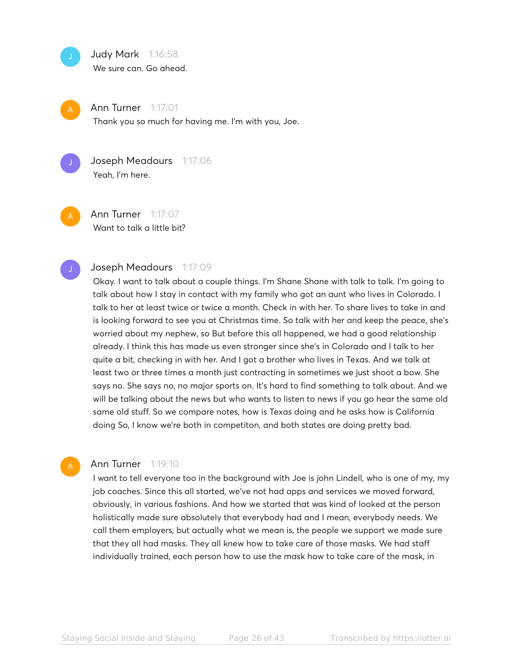# Judy Mark 1:16:58

We sure can. Go ahead.



**Ann Turner** 1:17:01 Thank you so much for having me. I'm with you, Joe.



Joseph Meadours 1:17:06 Yeah, I'm here.

Ann Turner 1:17:07 Want to talk a little bit?

# Joseph Meadours 1:17:09

Okay. I want to talk about a couple things. I'm Shane Shane with talk to talk. I'm going to talk about how I stay in contact with my family who got an aunt who lives in Colorado. I talk to her at least twice or twice a month. Check in with her. To share lives to take in and is looking forward to see you at Christmas time. So talk with her and keep the peace, she's worried about my nephew, so But before this all happened, we had a good relationship already. I think this has made us even stronger since she's in Colorado and I talk to her quite a bit, checking in with her. And I got a brother who lives in Texas. And we talk at least two or three times a month just contracting in sometimes we just shoot a bow. She says no. She says no, no major sports on. It's hard to find something to talk about. And we will be talking about the news but who wants to listen to news if you go hear the same old same old stuff. So we compare notes, how is Texas doing and he asks how is California doing So, I know we're both in competiton, and both states are doing pretty bad.

# **Ann Turner** 1:19:10

I want to tell everyone too in the background with Joe is john Lindell, who is one of my, my job coaches. Since this all started, we've not had apps and services we moved forward, obviously, in various fashions. And how we started that was kind of looked at the person holistically made sure absolutely that everybody had and I mean, everybody needs. We call them employers, but actually what we mean is, the people we support we made sure that they all had masks. They all knew how to take care of those masks. We had staff individually trained, each person how to use the mask how to take care of the mask, in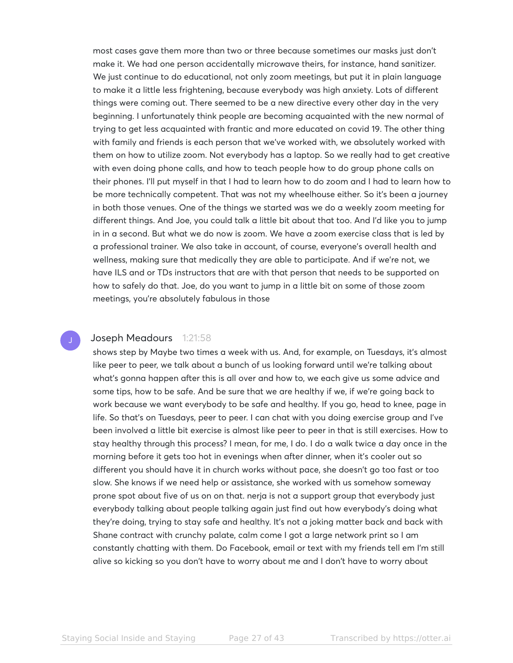most cases gave them more than two or three because sometimes our masks just don't make it. We had one person accidentally microwave theirs, for instance, hand sanitizer. We just continue to do educational, not only zoom meetings, but put it in plain language to make it a little less frightening, because everybody was high anxiety. Lots of different things were coming out. There seemed to be a new directive every other day in the very beginning. I unfortunately think people are becoming acquainted with the new normal of trying to get less acquainted with frantic and more educated on covid 19. The other thing with family and friends is each person that we've worked with, we absolutely worked with them on how to utilize zoom. Not everybody has a laptop. So we really had to get creative with even doing phone calls, and how to teach people how to do group phone calls on their phones. I'll put myself in that I had to learn how to do zoom and I had to learn how to be more technically competent. That was not my wheelhouse either. So it's been a journey in both those venues. One of the things we started was we do a weekly zoom meeting for different things. And Joe, you could talk a little bit about that too. And I'd like you to jump in in a second. But what we do now is zoom. We have a zoom exercise class that is led by a professional trainer. We also take in account, of course, everyone's overall health and wellness, making sure that medically they are able to participate. And if we're not, we have ILS and or TDs instructors that are with that person that needs to be supported on how to safely do that. Joe, do you want to jump in a little bit on some of those zoom meetings, you're absolutely fabulous in those

# Joseph Meadours 1:21:58

shows step by Maybe two times a week with us. And, for example, on Tuesdays, it's almost like peer to peer, we talk about a bunch of us looking forward until we're talking about what's gonna happen after this is all over and how to, we each give us some advice and some tips, how to be safe. And be sure that we are healthy if we, if we're going back to work because we want everybody to be safe and healthy. If you go, head to knee, page in life. So that's on Tuesdays, peer to peer. I can chat with you doing exercise group and I've been involved a little bit exercise is almost like peer to peer in that is still exercises. How to stay healthy through this process? I mean, for me, I do. I do a walk twice a day once in the morning before it gets too hot in evenings when after dinner, when it's cooler out so different you should have it in church works without pace, she doesn't go too fast or too slow. She knows if we need help or assistance, she worked with us somehow someway prone spot about five of us on on that. nerja is not a support group that everybody just everybody talking about people talking again just find out how everybody's doing what they're doing, trying to stay safe and healthy. It's not a joking matter back and back with Shane contract with crunchy palate, calm come I got a large network print so I am constantly chatting with them. Do Facebook, email or text with my friends tell em I'm still alive so kicking so you don't have to worry about me and I don't have to worry about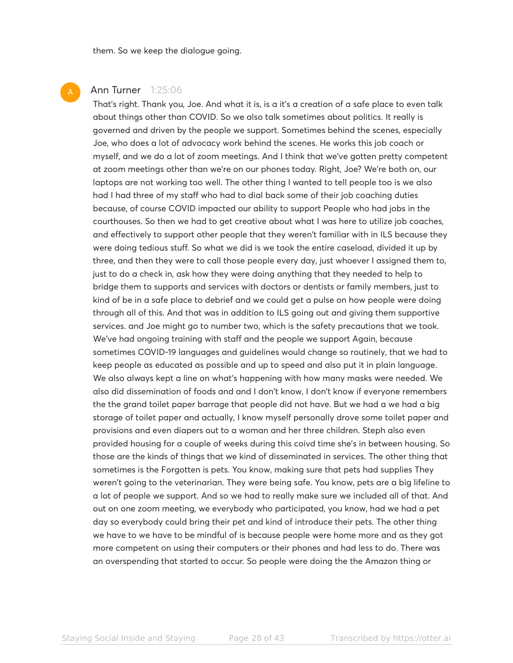them. So we keep the dialogue going.

# **Ann Turner** 1:25:06

That's right. Thank you, Joe. And what it is, is a it's a creation of a safe place to even talk about things other than COVID. So we also talk sometimes about politics. It really is governed and driven by the people we support. Sometimes behind the scenes, especially Joe, who does a lot of advocacy work behind the scenes. He works this job coach or myself, and we do a lot of zoom meetings. And I think that we've gotten pretty competent at zoom meetings other than we're on our phones today. Right, Joe? We're both on, our laptops are not working too well. The other thing I wanted to tell people too is we also had I had three of my staff who had to dial back some of their job coaching duties because, of course COVID impacted our ability to support People who had jobs in the courthouses. So then we had to get creative about what I was here to utilize job coaches, and effectively to support other people that they weren't familiar with in ILS because they were doing tedious stuff. So what we did is we took the entire caseload, divided it up by three, and then they were to call those people every day, just whoever I assigned them to, just to do a check in, ask how they were doing anything that they needed to help to bridge them to supports and services with doctors or dentists or family members, just to kind of be in a safe place to debrief and we could get a pulse on how people were doing through all of this. And that was in addition to ILS going out and giving them supportive services. and Joe might go to number two, which is the safety precautions that we took. We've had ongoing training with staff and the people we support Again, because sometimes COVID-19 languages and guidelines would change so routinely, that we had to keep people as educated as possible and up to speed and also put it in plain language. We also always kept a line on what's happening with how many masks were needed. We also did dissemination of foods and and I don't know, I don't know if everyone remembers the the grand toilet paper barrage that people did not have. But we had a we had a big storage of toilet paper and actually, I know myself personally drove some toilet paper and provisions and even diapers out to a woman and her three children. Steph also even provided housing for a couple of weeks during this coivd time she's in between housing. So those are the kinds of things that we kind of disseminated in services. The other thing that sometimes is the Forgotten is pets. You know, making sure that pets had supplies They weren't going to the veterinarian. They were being safe. You know, pets are a big lifeline to a lot of people we support. And so we had to really make sure we included all of that. And out on one zoom meeting, we everybody who participated, you know, had we had a pet day so everybody could bring their pet and kind of introduce their pets. The other thing we have to we have to be mindful of is because people were home more and as they got more competent on using their computers or their phones and had less to do. There was an overspending that started to occur. So people were doing the the Amazon thing or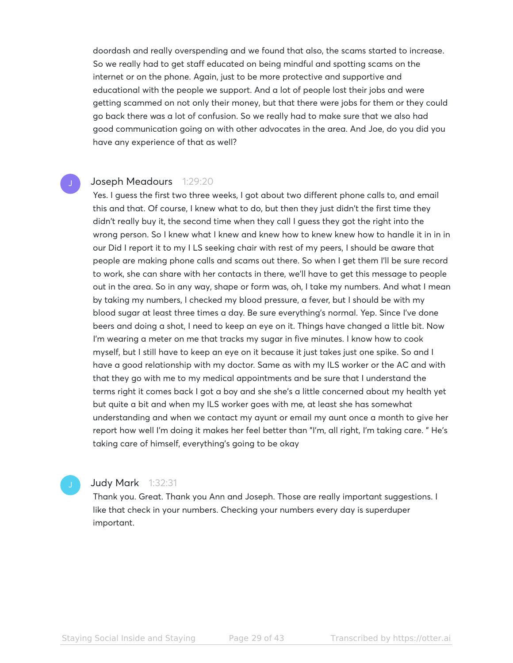doordash and really overspending and we found that also, the scams started to increase. So we really had to get staff educated on being mindful and spotting scams on the internet or on the phone. Again, just to be more protective and supportive and educational with the people we support. And a lot of people lost their jobs and were getting scammed on not only their money, but that there were jobs for them or they could go back there was a lot of confusion. So we really had to make sure that we also had good communication going on with other advocates in the area. And Joe, do you did you have any experience of that as well?

# Joseph Meadours 1:29:20

Yes. I guess the first two three weeks, I got about two different phone calls to, and email this and that. Of course, I knew what to do, but then they just didn't the first time they didn't really buy it, the second time when they call I guess they got the right into the wrong person. So I knew what I knew and knew how to knew knew how to handle it in in in our Did I report it to my I LS seeking chair with rest of my peers, I should be aware that people are making phone calls and scams out there. So when I get them I'll be sure record to work, she can share with her contacts in there, we'll have to get this message to people out in the area. So in any way, shape or form was, oh, I take my numbers. And what I mean by taking my numbers, I checked my blood pressure, a fever, but I should be with my blood sugar at least three times a day. Be sure everything's normal. Yep. Since I've done beers and doing a shot, I need to keep an eye on it. Things have changed a little bit. Now I'm wearing a meter on me that tracks my sugar in five minutes. I know how to cook myself, but I still have to keep an eye on it because it just takes just one spike. So and I have a good relationship with my doctor. Same as with my ILS worker or the AC and with that they go with me to my medical appointments and be sure that I understand the terms right it comes back I got a boy and she she's a little concerned about my health yet but quite a bit and when my ILS worker goes with me, at least she has somewhat understanding and when we contact my ayunt or email my aunt once a month to give her report how well I'm doing it makes her feel better than "I'm, all right, I'm taking care. " He's taking care of himself, everything's going to be okay

# Judy Mark 1:32:31

Thank you. Great. Thank you Ann and Joseph. Those are really important suggestions. I like that check in your numbers. Checking your numbers every day is superduper important.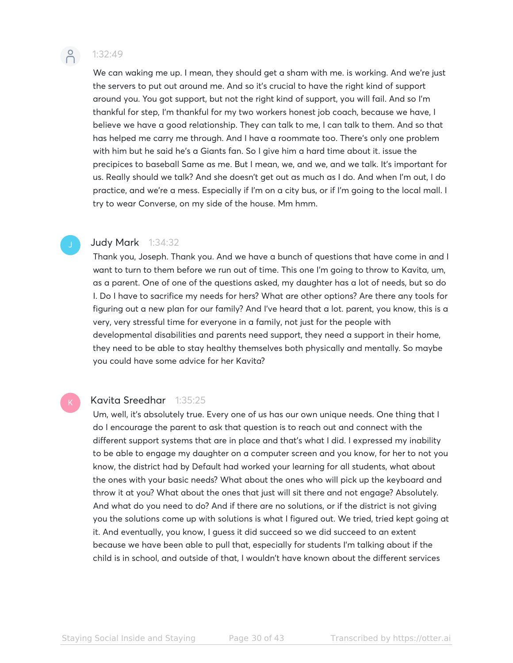

# 1:32:49

We can waking me up. I mean, they should get a sham with me. is working. And we're just the servers to put out around me. And so it's crucial to have the right kind of support around you. You got support, but not the right kind of support, you will fail. And so I'm thankful for step, I'm thankful for my two workers honest job coach, because we have, I believe we have a good relationship. They can talk to me, I can talk to them. And so that has helped me carry me through. And I have a roommate too. There's only one problem with him but he said he's a Giants fan. So I give him a hard time about it. issue the precipices to baseball Same as me. But I mean, we, and we, and we talk. It's important for us. Really should we talk? And she doesn't get out as much as I do. And when I'm out, I do practice, and we're a mess. Especially if I'm on a city bus, or if I'm going to the local mall. I try to wear Converse, on my side of the house. Mm hmm.

# **Judy Mark** 1:34:32

Thank you, Joseph. Thank you. And we have a bunch of questions that have come in and I want to turn to them before we run out of time. This one I'm going to throw to Kavita, um, as a parent. One of one of the questions asked, my daughter has a lot of needs, but so do I. Do I have to sacrifice my needs for hers? What are other options? Are there any tools for figuring out a new plan for our family? And I've heard that a lot. parent, you know, this is a very, very stressful time for everyone in a family, not just for the people with developmental disabilities and parents need support, they need a support in their home, they need to be able to stay healthy themselves both physically and mentally. So maybe you could have some advice for her Kavita?

# Kavita Sreedhar 1:35:25

Um, well, it's absolutely true. Every one of us has our own unique needs. One thing that I do I encourage the parent to ask that question is to reach out and connect with the different support systems that are in place and that's what I did. I expressed my inability to be able to engage my daughter on a computer screen and you know, for her to not you know, the district had by Default had worked your learning for all students, what about the ones with your basic needs? What about the ones who will pick up the keyboard and throw it at you? What about the ones that just will sit there and not engage? Absolutely. And what do you need to do? And if there are no solutions, or if the district is not giving you the solutions come up with solutions is what I figured out. We tried, tried kept going at it. And eventually, you know, I guess it did succeed so we did succeed to an extent because we have been able to pull that, especially for students I'm talking about if the child is in school, and outside of that, I wouldn't have known about the different services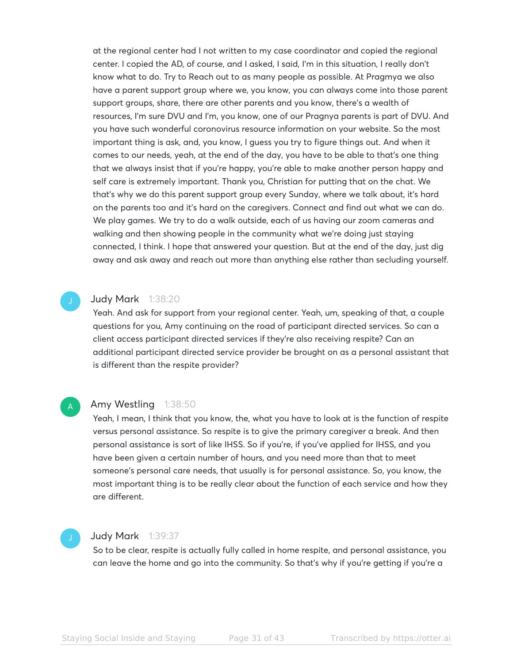at the regional center had I not written to my case coordinator and copied the regional center. I copied the AD, of course, and I asked, I said, I'm in this situation, I really don't know what to do. Try to Reach out to as many people as possible. At Pragmya we also have a parent support group where we, you know, you can always come into those parent support groups, share, there are other parents and you know, there's a wealth of resources, I'm sure DVU and I'm, you know, one of our Pragnya parents is part of DVU. And you have such wonderful coronovirus resource information on your website. So the most important thing is ask, and, you know, I guess you try to figure things out. And when it comes to our needs, yeah, at the end of the day, you have to be able to that's one thing that we always insist that if you're happy, you're able to make another person happy and self care is extremely important. Thank you, Christian for putting that on the chat. We that's why we do this parent support group every Sunday, where we talk about, it's hard on the parents too and it's hard on the caregivers. Connect and find out what we can do. We play games. We try to do a walk outside, each of us having our zoom cameras and walking and then showing people in the community what we're doing just staying connected, I think. I hope that answered your question. But at the end of the day, just dig away and ask away and reach out more than anything else rather than secluding yourself.



# **Judy Mark** 1:38:20

Yeah. And ask for support from your regional center. Yeah, um, speaking of that, a couple questions for you, Amy continuing on the road of participant directed services. So can a client access participant directed services if they're also receiving respite? Can an additional participant directed service provider be brought on as a personal assistant that is different than the respite provider?

# A

# Amy Westling 1:38:50

Yeah, I mean, I think that you know, the, what you have to look at is the function of respite versus personal assistance. So respite is to give the primary caregiver a break. And then personal assistance is sort of like IHSS. So if you're, if you've applied for IHSS, and you have been given a certain number of hours, and you need more than that to meet someone's personal care needs, that usually is for personal assistance. So, you know, the most important thing is to be really clear about the function of each service and how they are different.

# **Judy Mark** 1:39:37

So to be clear, respite is actually fully called in home respite, and personal assistance, you can leave the home and go into the community. So that's why if you're getting if you're a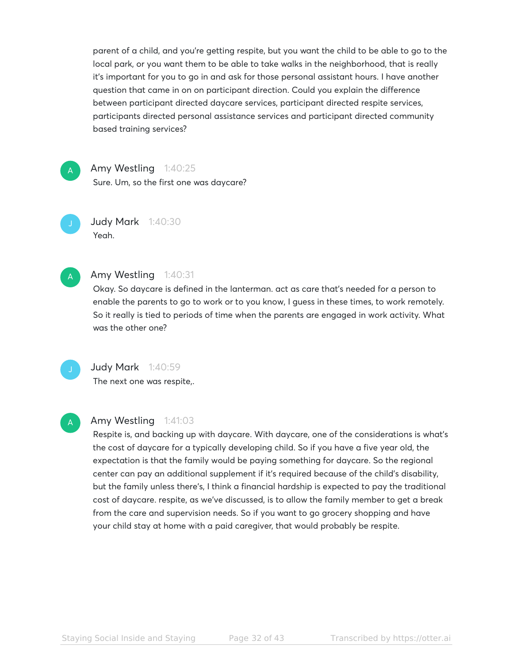parent of a child, and you're getting respite, but you want the child to be able to go to the local park, or you want them to be able to take walks in the neighborhood, that is really it's important for you to go in and ask for those personal assistant hours. I have another question that came in on on participant direction. Could you explain the difference between participant directed daycare services, participant directed respite services, participants directed personal assistance services and participant directed community based training services?

A

Amy Westling 1:40:25

Sure. Um, so the first one was daycare?

Judy Mark 1:40:30 Yeah.

A

# Amy Westling 1:40:31

Okay. So daycare is defined in the lanterman. act as care that's needed for a person to enable the parents to go to work or to you know, I guess in these times, to work remotely. So it really is tied to periods of time when the parents are engaged in work activity. What was the other one?

# **Judy Mark** 1:40:59

The next one was respite,.

# A

# Amy Westling 1:41:03

Respite is, and backing up with daycare. With daycare, one of the considerations is what's the cost of daycare for a typically developing child. So if you have a five year old, the expectation is that the family would be paying something for daycare. So the regional center can pay an additional supplement if it's required because of the child's disability, but the family unless there's, I think a financial hardship is expected to pay the traditional cost of daycare. respite, as we've discussed, is to allow the family member to get a break from the care and supervision needs. So if you want to go grocery shopping and have your child stay at home with a paid caregiver, that would probably be respite.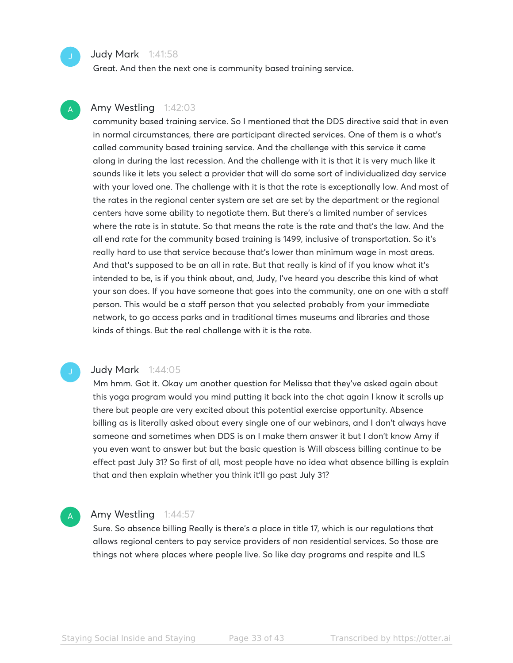# **Judy Mark** 1:41:58

Great. And then the next one is community based training service.

# Amy Westling 1:42:03

community based training service. So I mentioned that the DDS directive said that in even in normal circumstances, there are participant directed services. One of them is a what's called community based training service. And the challenge with this service it came along in during the last recession. And the challenge with it is that it is very much like it sounds like it lets you select a provider that will do some sort of individualized day service with your loved one. The challenge with it is that the rate is exceptionally low. And most of the rates in the regional center system are set are set by the department or the regional centers have some ability to negotiate them. But there's a limited number of services where the rate is in statute. So that means the rate is the rate and that's the law. And the all end rate for the community based training is 1499, inclusive of transportation. So it's really hard to use that service because that's lower than minimum wage in most areas. And that's supposed to be an all in rate. But that really is kind of if you know what it's intended to be, is if you think about, and, Judy, I've heard you describe this kind of what your son does. If you have someone that goes into the community, one on one with a staff person. This would be a staff person that you selected probably from your immediate network, to go access parks and in traditional times museums and libraries and those kinds of things. But the real challenge with it is the rate.

A

A

# Judy Mark 1:44:05

Mm hmm. Got it. Okay um another question for Melissa that they've asked again about this yoga program would you mind putting it back into the chat again I know it scrolls up there but people are very excited about this potential exercise opportunity. Absence billing as is literally asked about every single one of our webinars, and I don't always have someone and sometimes when DDS is on I make them answer it but I don't know Amy if you even want to answer but but the basic question is Will abscess billing continue to be effect past July 31? So first of all, most people have no idea what absence billing is explain that and then explain whether you think it'll go past July 31?

# Amy Westling 1:44:57

Sure. So absence billing Really is there's a place in title 17, which is our regulations that allows regional centers to pay service providers of non residential services. So those are things not where places where people live. So like day programs and respite and ILS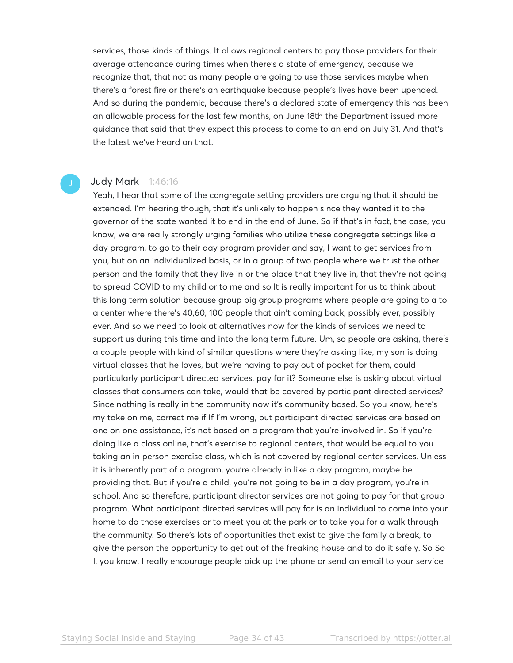services, those kinds of things. It allows regional centers to pay those providers for their average attendance during times when there's a state of emergency, because we recognize that, that not as many people are going to use those services maybe when there's a forest fire or there's an earthquake because people's lives have been upended. And so during the pandemic, because there's a declared state of emergency this has been an allowable process for the last few months, on June 18th the Department issued more guidance that said that they expect this process to come to an end on July 31. And that's the latest we've heard on that.

# Judy Mark 1:46:16

Yeah, I hear that some of the congregate setting providers are arguing that it should be extended. I'm hearing though, that it's unlikely to happen since they wanted it to the governor of the state wanted it to end in the end of June. So if that's in fact, the case, you know, we are really strongly urging families who utilize these congregate settings like a day program, to go to their day program provider and say, I want to get services from you, but on an individualized basis, or in a group of two people where we trust the other person and the family that they live in or the place that they live in, that they're not going to spread COVID to my child or to me and so It is really important for us to think about this long term solution because group big group programs where people are going to a to a center where there's 40,60, 100 people that ain't coming back, possibly ever, possibly ever. And so we need to look at alternatives now for the kinds of services we need to support us during this time and into the long term future. Um, so people are asking, there's a couple people with kind of similar questions where they're asking like, my son is doing virtual classes that he loves, but we're having to pay out of pocket for them, could particularly participant directed services, pay for it? Someone else is asking about virtual classes that consumers can take, would that be covered by participant directed services? Since nothing is really in the community now it's community based. So you know, here's my take on me, correct me if If I'm wrong, but participant directed services are based on one on one assistance, it's not based on a program that you're involved in. So if you're doing like a class online, that's exercise to regional centers, that would be equal to you taking an in person exercise class, which is not covered by regional center services. Unless it is inherently part of a program, you're already in like a day program, maybe be providing that. But if you're a child, you're not going to be in a day program, you're in school. And so therefore, participant director services are not going to pay for that group program. What participant directed services will pay for is an individual to come into your home to do those exercises or to meet you at the park or to take you for a walk through the community. So there's lots of opportunities that exist to give the family a break, to give the person the opportunity to get out of the freaking house and to do it safely. So So I, you know, I really encourage people pick up the phone or send an email to your service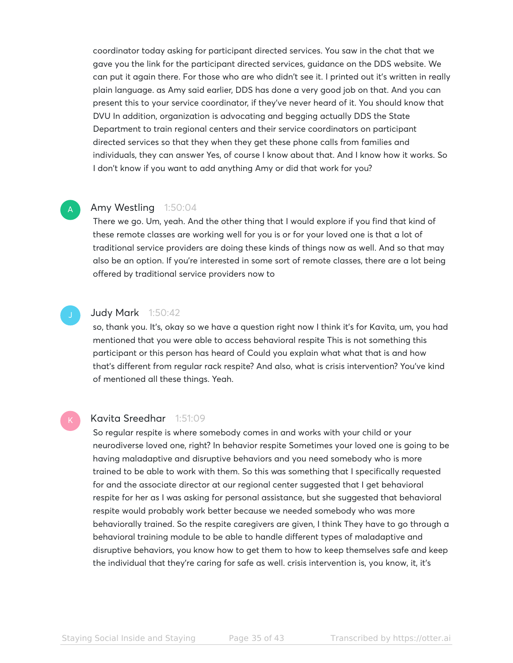coordinator today asking for participant directed services. You saw in the chat that we gave you the link for the participant directed services, guidance on the DDS website. We can put it again there. For those who are who didn't see it. I printed out it's written in really plain language. as Amy said earlier, DDS has done a very good job on that. And you can present this to your service coordinator, if they've never heard of it. You should know that DVU In addition, organization is advocating and begging actually DDS the State Department to train regional centers and their service coordinators on participant directed services so that they when they get these phone calls from families and individuals, they can answer Yes, of course I know about that. And I know how it works. So I don't know if you want to add anything Amy or did that work for you?

# Amy Westling 1:50:04

A

There we go. Um, yeah. And the other thing that I would explore if you find that kind of these remote classes are working well for you is or for your loved one is that a lot of traditional service providers are doing these kinds of things now as well. And so that may also be an option. If you're interested in some sort of remote classes, there are a lot being offered by traditional service providers now to

# Judy Mark 1:50:42

so, thank you. It's, okay so we have a question right now I think it's for Kavita, um, you had mentioned that you were able to access behavioral respite This is not something this participant or this person has heard of Could you explain what what that is and how that's different from regular rack respite? And also, what is crisis intervention? You've kind of mentioned all these things. Yeah.

# Kavita Sreedhar 1:51:09

So regular respite is where somebody comes in and works with your child or your neurodiverse loved one, right? In behavior respite Sometimes your loved one is going to be having maladaptive and disruptive behaviors and you need somebody who is more trained to be able to work with them. So this was something that I specifically requested for and the associate director at our regional center suggested that I get behavioral respite for her as I was asking for personal assistance, but she suggested that behavioral respite would probably work better because we needed somebody who was more behaviorally trained. So the respite caregivers are given, I think They have to go through a behavioral training module to be able to handle different types of maladaptive and disruptive behaviors, you know how to get them to how to keep themselves safe and keep the individual that they're caring for safe as well. crisis intervention is, you know, it, it's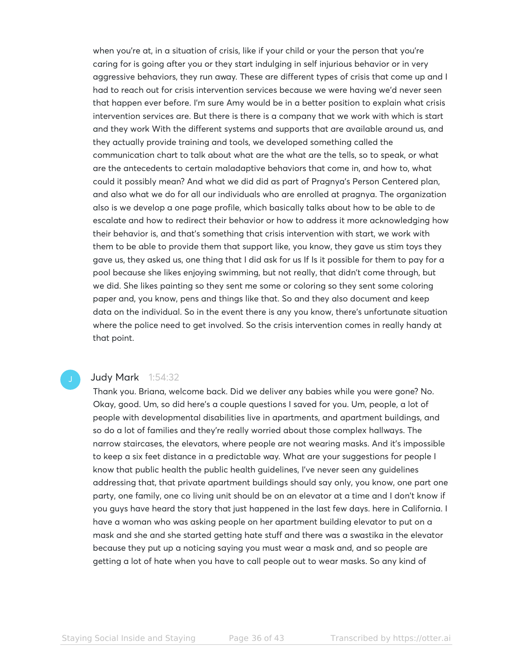when you're at, in a situation of crisis, like if your child or your the person that you're caring for is going after you or they start indulging in self injurious behavior or in very aggressive behaviors, they run away. These are different types of crisis that come up and I had to reach out for crisis intervention services because we were having we'd never seen that happen ever before. I'm sure Amy would be in a better position to explain what crisis intervention services are. But there is there is a company that we work with which is start and they work With the different systems and supports that are available around us, and they actually provide training and tools, we developed something called the communication chart to talk about what are the what are the tells, so to speak, or what are the antecedents to certain maladaptive behaviors that come in, and how to, what could it possibly mean? And what we did did as part of Pragnya's Person Centered plan, and also what we do for all our individuals who are enrolled at pragnya. The organization also is we develop a one page profile, which basically talks about how to be able to de escalate and how to redirect their behavior or how to address it more acknowledging how their behavior is, and that's something that crisis intervention with start, we work with them to be able to provide them that support like, you know, they gave us stim toys they gave us, they asked us, one thing that I did ask for us If Is it possible for them to pay for a pool because she likes enjoying swimming, but not really, that didn't come through, but we did. She likes painting so they sent me some or coloring so they sent some coloring paper and, you know, pens and things like that. So and they also document and keep data on the individual. So in the event there is any you know, there's unfortunate situation where the police need to get involved. So the crisis intervention comes in really handy at that point.

# Judy Mark 1:54:32

Thank you. Briana, welcome back. Did we deliver any babies while you were gone? No. Okay, good. Um, so did here's a couple questions I saved for you. Um, people, a lot of people with developmental disabilities live in apartments, and apartment buildings, and so do a lot of families and they're really worried about those complex hallways. The narrow staircases, the elevators, where people are not wearing masks. And it's impossible to keep a six feet distance in a predictable way. What are your suggestions for people I know that public health the public health guidelines, I've never seen any guidelines addressing that, that private apartment buildings should say only, you know, one part one party, one family, one co living unit should be on an elevator at a time and I don't know if you guys have heard the story that just happened in the last few days. here in California. I have a woman who was asking people on her apartment building elevator to put on a mask and she and she started getting hate stuff and there was a swastika in the elevator because they put up a noticing saying you must wear a mask and, and so people are getting a lot of hate when you have to call people out to wear masks. So any kind of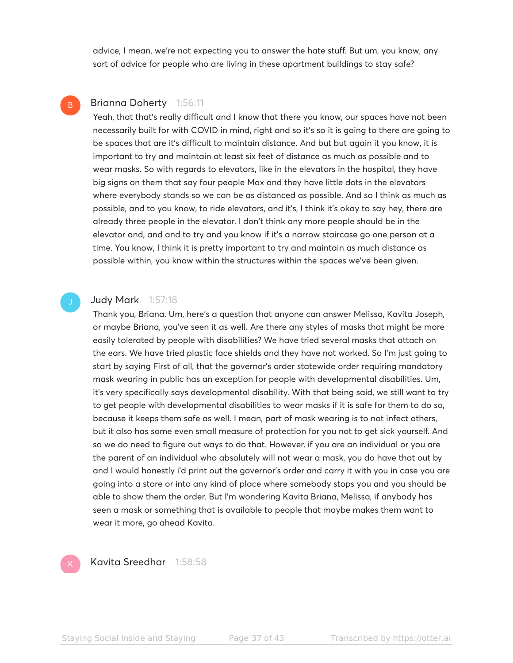advice, I mean, we're not expecting you to answer the hate stuff. But um, you know, any sort of advice for people who are living in these apartment buildings to stay safe?

# Brianna Doherty 1:56:11

B

Yeah, that that's really difficult and I know that there you know, our spaces have not been necessarily built for with COVID in mind, right and so it's so it is going to there are going to be spaces that are it's difficult to maintain distance. And but but again it you know, it is important to try and maintain at least six feet of distance as much as possible and to wear masks. So with regards to elevators, like in the elevators in the hospital, they have big signs on them that say four people Max and they have little dots in the elevators where everybody stands so we can be as distanced as possible. And so I think as much as possible, and to you know, to ride elevators, and it's, I think it's okay to say hey, there are already three people in the elevator. I don't think any more people should be in the elevator and, and and to try and you know if it's a narrow staircase go one person at a time. You know, I think it is pretty important to try and maintain as much distance as possible within, you know within the structures within the spaces we've been given.

# Judy Mark 1:57:18

Thank you, Briana. Um, here's a question that anyone can answer Melissa, Kavita Joseph, or maybe Briana, you've seen it as well. Are there any styles of masks that might be more easily tolerated by people with disabilities? We have tried several masks that attach on the ears. We have tried plastic face shields and they have not worked. So I'm just going to start by saying First of all, that the governor's order statewide order requiring mandatory mask wearing in public has an exception for people with developmental disabilities. Um, it's very specifically says developmental disability. With that being said, we still want to try to get people with developmental disabilities to wear masks if it is safe for them to do so, because it keeps them safe as well. I mean, part of mask wearing is to not infect others, but it also has some even small measure of protection for you not to get sick yourself. And so we do need to figure out ways to do that. However, if you are an individual or you are the parent of an individual who absolutely will not wear a mask, you do have that out by and I would honestly i'd print out the governor's order and carry it with you in case you are going into a store or into any kind of place where somebody stops you and you should be able to show them the order. But I'm wondering Kavita Briana, Melissa, if anybody has seen a mask or something that is available to people that maybe makes them want to wear it more, go ahead Kavita.



Kavita Sreedhar 1:58:58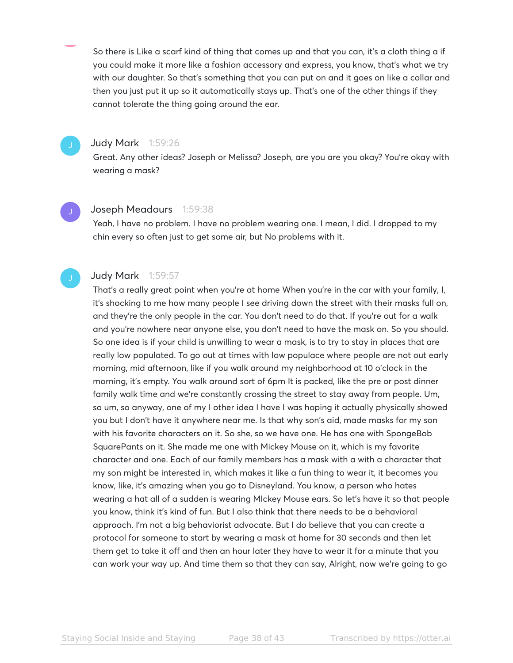So there is Like a scarf kind of thing that comes up and that you can, it's a cloth thing a if you could make it more like a fashion accessory and express, you know, that's what we try with our daughter. So that's something that you can put on and it goes on like a collar and then you just put it up so it automatically stays up. That's one of the other things if they cannot tolerate the thing going around the ear.

# Judy Mark 1:59:26

Great. Any other ideas? Joseph or Melissa? Joseph, are you are you okay? You're okay with wearing a mask?

# Joseph Meadours 1:59:38

Yeah, I have no problem. I have no problem wearing one. I mean, I did. I dropped to my chin every so often just to get some air, but No problems with it.

# Judy Mark 1:59:57

That's a really great point when you're at home When you're in the car with your family, I, it's shocking to me how many people I see driving down the street with their masks full on, and they're the only people in the car. You don't need to do that. If you're out for a walk and you're nowhere near anyone else, you don't need to have the mask on. So you should. So one idea is if your child is unwilling to wear a mask, is to try to stay in places that are really low populated. To go out at times with low populace where people are not out early morning, mid afternoon, like if you walk around my neighborhood at 10 o'clock in the morning, it's empty. You walk around sort of 6pm It is packed, like the pre or post dinner family walk time and we're constantly crossing the street to stay away from people. Um, so um, so anyway, one of my I other idea I have I was hoping it actually physically showed you but I don't have it anywhere near me. Is that why son's aid, made masks for my son with his favorite characters on it. So she, so we have one. He has one with SpongeBob SquarePants on it. She made me one with Mickey Mouse on it, which is my favorite character and one. Each of our family members has a mask with a with a character that my son might be interested in, which makes it like a fun thing to wear it, it becomes you know, like, it's amazing when you go to Disneyland. You know, a person who hates wearing a hat all of a sudden is wearing MIckey Mouse ears. So let's have it so that people you know, think it's kind of fun. But I also think that there needs to be a behavioral approach. I'm not a big behaviorist advocate. But I do believe that you can create a protocol for someone to start by wearing a mask at home for 30 seconds and then let them get to take it off and then an hour later they have to wear it for a minute that you can work your way up. And time them so that they can say, Alright, now we're going to go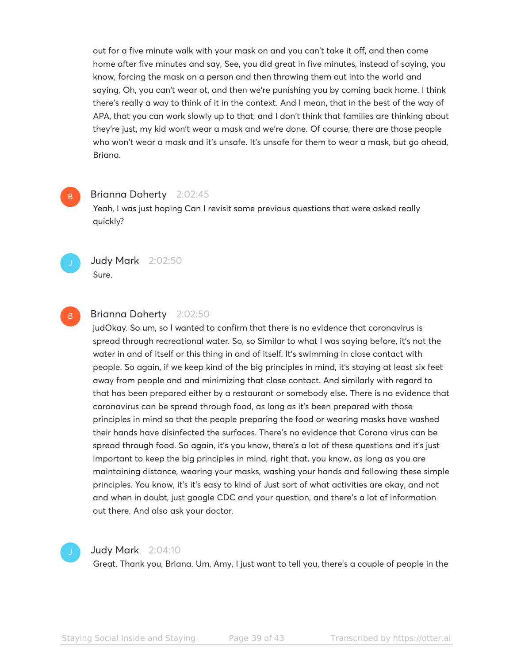out for a five minute walk with your mask on and you can't take it off, and then come home after five minutes and say, See, you did great in five minutes, instead of saying, you know, forcing the mask on a person and then throwing them out into the world and saying, Oh, you can't wear ot, and then we're punishing you by coming back home. I think there's really a way to think of it in the context. And I mean, that in the best of the way of APA, that you can work slowly up to that, and I don't think that families are thinking about they're just, my kid won't wear a mask and we're done. Of course, there are those people who won't wear a mask and it's unsafe. It's unsafe for them to wear a mask, but go ahead, Briana.

# Brianna Doherty 2:02:45

Yeah, I was just hoping Can I revisit some previous questions that were asked really quickly?



B

Judy Mark 2:02:50 Sure.

# B

# Brianna Doherty 2:02:50

judOkay. So um, so I wanted to confirm that there is no evidence that coronavirus is spread through recreational water. So, so Similar to what I was saying before, it's not the water in and of itself or this thing in and of itself. It's swimming in close contact with people. So again, if we keep kind of the big principles in mind, it's staying at least six feet away from people and and minimizing that close contact. And similarly with regard to that has been prepared either by a restaurant or somebody else. There is no evidence that coronavirus can be spread through food, as long as it's been prepared with those principles in mind so that the people preparing the food or wearing masks have washed their hands have disinfected the surfaces. There's no evidence that Corona virus can be spread through food. So again, it's you know, there's a lot of these questions and it's just important to keep the big principles in mind, right that, you know, as long as you are maintaining distance, wearing your masks, washing your hands and following these simple principles. You know, it's it's easy to kind of Just sort of what activities are okay, and not and when in doubt, just google CDC and your question, and there's a lot of information out there. And also ask your doctor.



# Judy Mark 2:04:10

Great. Thank you, Briana. Um, Amy, I just want to tell you, there's a couple of people in the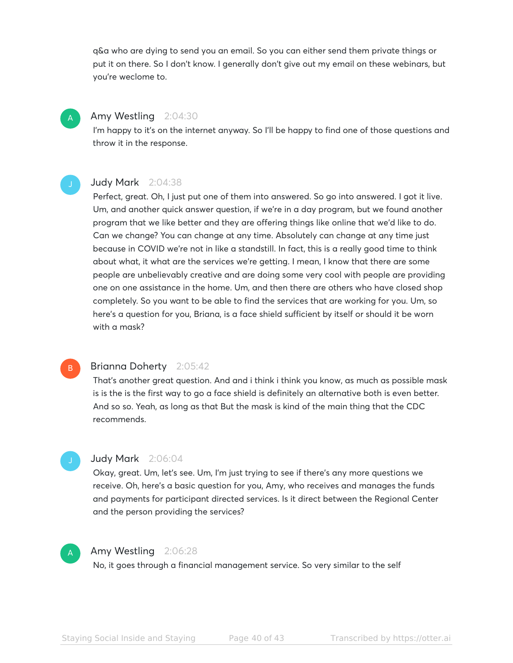q&a who are dying to send you an email. So you can either send them private things or put it on there. So I don't know. I generally don't give out my email on these webinars, but you're weclome to.

# Amy Westling 2:04:30

A

I'm happy to it's on the internet anyway. So I'll be happy to find one of those questions and throw it in the response.

# Judy Mark 2:04:38

Perfect, great. Oh, I just put one of them into answered. So go into answered. I got it live. Um, and another quick answer question, if we're in a day program, but we found another program that we like better and they are offering things like online that we'd like to do. Can we change? You can change at any time. Absolutely can change at any time just because in COVID we're not in like a standstill. In fact, this is a really good time to think about what, it what are the services we're getting. I mean, I know that there are some people are unbelievably creative and are doing some very cool with people are providing one on one assistance in the home. Um, and then there are others who have closed shop completely. So you want to be able to find the services that are working for you. Um, so here's a question for you, Briana, is a face shield sufficient by itself or should it be worn with a mask?

# Brianna Doherty 2:05:42

That's another great question. And and i think i think you know, as much as possible mask is is the is the first way to go a face shield is definitely an alternative both is even better. And so so. Yeah, as long as that But the mask is kind of the main thing that the CDC recommends.

# Judy Mark 2:06:04

Okay, great. Um, let's see. Um, I'm just trying to see if there's any more questions we receive. Oh, here's a basic question for you, Amy, who receives and manages the funds and payments for participant directed services. Is it direct between the Regional Center and the person providing the services?



B

# Amy Westling 2:06:28

No, it goes through a financial management service. So very similar to the self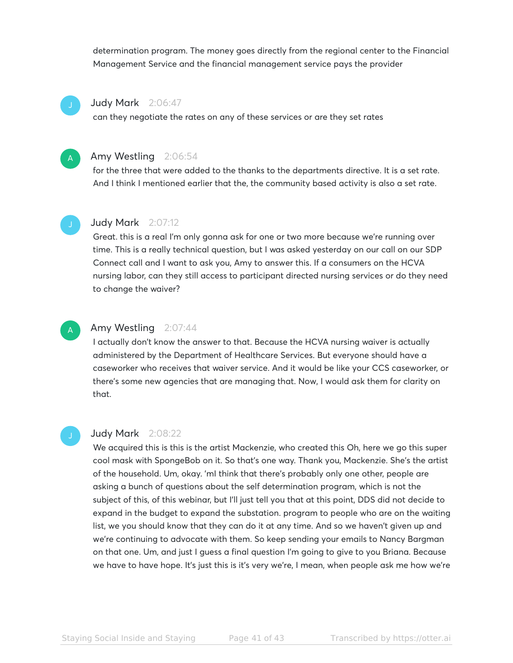determination program. The money goes directly from the regional center to the Financial Management Service and the financial management service pays the provider

# Judy Mark 2:06:47

can they negotiate the rates on any of these services or are they set rates



# Amy Westling 2:06:54

for the three that were added to the thanks to the departments directive. It is a set rate. And I think I mentioned earlier that the, the community based activity is also a set rate.



# Judy Mark 2:07:12

Great. this is a real I'm only gonna ask for one or two more because we're running over time. This is a really technical question, but I was asked yesterday on our call on our SDP Connect call and I want to ask you, Amy to answer this. If a consumers on the HCVA nursing labor, can they still access to participant directed nursing services or do they need to change the waiver?



# Amy Westling 2:07:44

I actually don't know the answer to that. Because the HCVA nursing waiver is actually administered by the Department of Healthcare Services. But everyone should have a caseworker who receives that waiver service. And it would be like your CCS caseworker, or there's some new agencies that are managing that. Now, I would ask them for clarity on that.

# Judy Mark 2:08:22

We acquired this is this is the artist Mackenzie, who created this Oh, here we go this super cool mask with SpongeBob on it. So that's one way. Thank you, Mackenzie. She's the artist of the household. Um, okay. 'mI think that there's probably only one other, people are asking a bunch of questions about the self determination program, which is not the subject of this, of this webinar, but I'll just tell you that at this point, DDS did not decide to expand in the budget to expand the substation. program to people who are on the waiting list, we you should know that they can do it at any time. And so we haven't given up and we're continuing to advocate with them. So keep sending your emails to Nancy Bargman on that one. Um, and just I guess a final question I'm going to give to you Briana. Because we have to have hope. It's just this is it's very we're, I mean, when people ask me how we're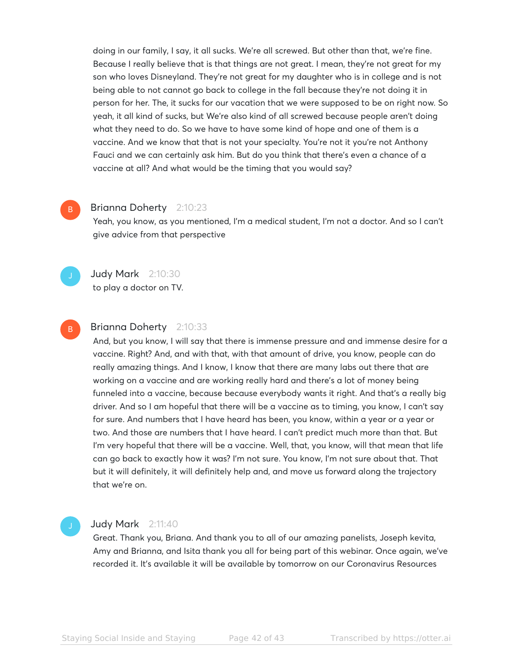doing in our family, I say, it all sucks. We're all screwed. But other than that, we're fine. Because I really believe that is that things are not great. I mean, they're not great for my son who loves Disneyland. They're not great for my daughter who is in college and is not being able to not cannot go back to college in the fall because they're not doing it in person for her. The, it sucks for our vacation that we were supposed to be on right now. So yeah, it all kind of sucks, but We're also kind of all screwed because people aren't doing what they need to do. So we have to have some kind of hope and one of them is a vaccine. And we know that that is not your specialty. You're not it you're not Anthony Fauci and we can certainly ask him. But do you think that there's even a chance of a vaccine at all? And what would be the timing that you would say?

# Brianna Doherty 2:10:23

Yeah, you know, as you mentioned, I'm a medical student, I'm not a doctor. And so I can't give advice from that perspective

B

B

# **Judy Mark** 2:10:30

to play a doctor on TV.

# Brianna Doherty 2:10:33

And, but you know, I will say that there is immense pressure and and immense desire for a vaccine. Right? And, and with that, with that amount of drive, you know, people can do really amazing things. And I know, I know that there are many labs out there that are working on a vaccine and are working really hard and there's a lot of money being funneled into a vaccine, because because everybody wants it right. And that's a really big driver. And so I am hopeful that there will be a vaccine as to timing, you know, I can't say for sure. And numbers that I have heard has been, you know, within a year or a year or two. And those are numbers that I have heard. I can't predict much more than that. But I'm very hopeful that there will be a vaccine. Well, that, you know, will that mean that life can go back to exactly how it was? I'm not sure. You know, I'm not sure about that. That but it will definitely, it will definitely help and, and move us forward along the trajectory that we're on.

# Judy Mark 2:11:40

Great. Thank you, Briana. And thank you to all of our amazing panelists, Joseph kevita, Amy and Brianna, and Isita thank you all for being part of this webinar. Once again, we've recorded it. It's available it will be available by tomorrow on our Coronavirus Resources